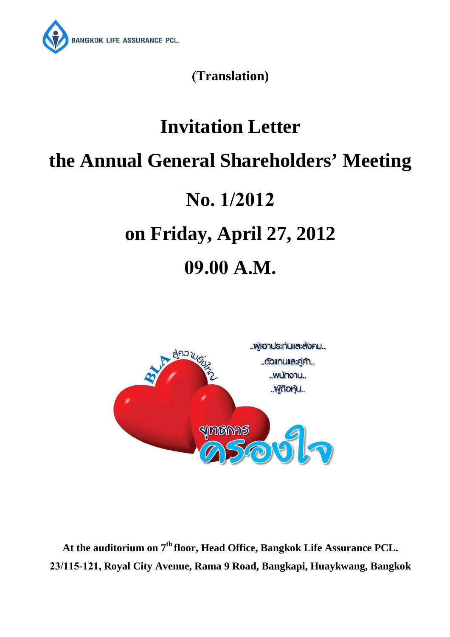

**(Translation)** 

# **Invitation Letter the Annual General Shareholders' Meeting No. 1/2012 on Friday, April 27, 2012 09.00 A.M.**



**At the auditorium on 7th floor, Head Office, Bangkok Life Assurance PCL. 23/115-121, Royal City Avenue, Rama 9 Road, Bangkapi, Huaykwang, Bangkok**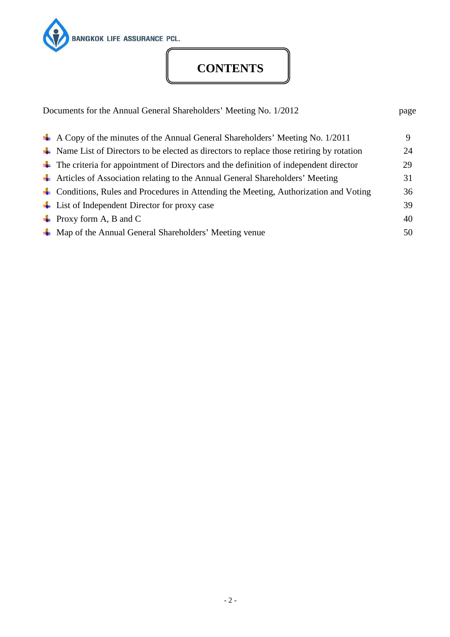

# **CONTENTS**

| Documents for the Annual General Shareholders' Meeting No. 1/2012                                                | page |
|------------------------------------------------------------------------------------------------------------------|------|
| $\perp$ A Copy of the minutes of the Annual General Shareholders' Meeting No. 1/2011                             | 9    |
| $\overline{\phantom{a}}$ Name List of Directors to be elected as directors to replace those retiring by rotation | 24   |
| $\overline{\phantom{a}}$ The criteria for appointment of Directors and the definition of independent director    | 29   |
| The Articles of Association relating to the Annual General Shareholders' Meeting                                 | 31   |
| • Conditions, Rules and Procedures in Attending the Meeting, Authorization and Voting                            | 36   |
| $\overline{\phantom{a}}$ List of Independent Director for proxy case                                             | 39   |
| $\perp$ Proxy form A, B and C                                                                                    | 40   |
| $\overline{\mathbf{A}}$ Map of the Annual General Shareholders' Meeting venue                                    | 50   |
|                                                                                                                  |      |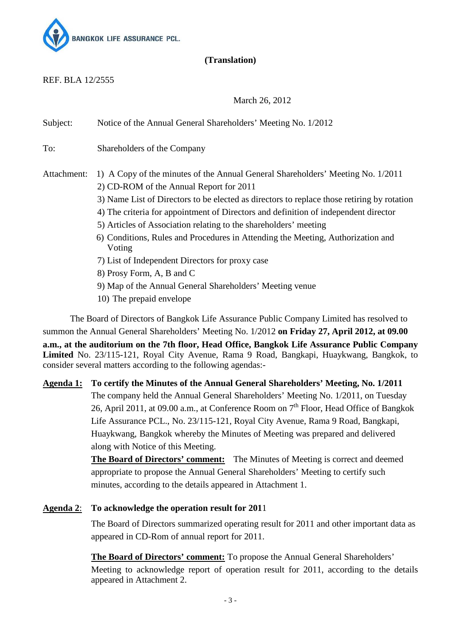

## **(Translation)**

REF. BLA 12/2555

March 26, 2012

Subject: Notice of the Annual General Shareholders' Meeting No. 1/2012 To: Shareholders of the Company Attachment: 1) A Copy of the minutes of the Annual General Shareholders' Meeting No. 1/2011 2) CD-ROM of the Annual Report for 2011 3) Name List of Directors to be elected as directors to replace those retiring by rotation 4) The criteria for appointment of Directors and definition of independent director 5) Articles of Association relating to the shareholders' meeting 6) Conditions, Rules and Procedures in Attending the Meeting, Authorization and Voting 7) List of Independent Directors for proxy case 8) Prosy Form, A, B and C 9) Map of the Annual General Shareholders' Meeting venue

10) The prepaid envelope

The Board of Directors of Bangkok Life Assurance Public Company Limited has resolved to summon the Annual General Shareholders' Meeting No. 1/2012 **on Friday 27, April 2012, at 09.00 a.m., at the auditorium on the 7th floor, Head Office, Bangkok Life Assurance Public Company Limited** No. 23/115-121, Royal City Avenue, Rama 9 Road, Bangkapi, Huaykwang, Bangkok, to consider several matters according to the following agendas:-

**Agenda 1: To certify the Minutes of the Annual General Shareholders' Meeting, No. 1/2011**  The company held the Annual General Shareholders' Meeting No. 1/2011, on Tuesday 26, April 2011, at 09.00 a.m., at Conference Room on  $7<sup>th</sup>$  Floor, Head Office of Bangkok Life Assurance PCL., No. 23/115-121, Royal City Avenue, Rama 9 Road, Bangkapi, Huaykwang, Bangkok whereby the Minutes of Meeting was prepared and delivered along with Notice of this Meeting.

> **The Board of Directors' comment:** The Minutes of Meeting is correct and deemed appropriate to propose the Annual General Shareholders' Meeting to certify such minutes, according to the details appeared in Attachment 1.

## **Agenda 2**: **To acknowledge the operation result for 201**1

 The Board of Directors summarized operating result for 2011 and other important data as appeared in CD-Rom of annual report for 2011.

**The Board of Directors' comment:** To propose the Annual General Shareholders' Meeting to acknowledge report of operation result for 2011, according to the details appeared in Attachment 2.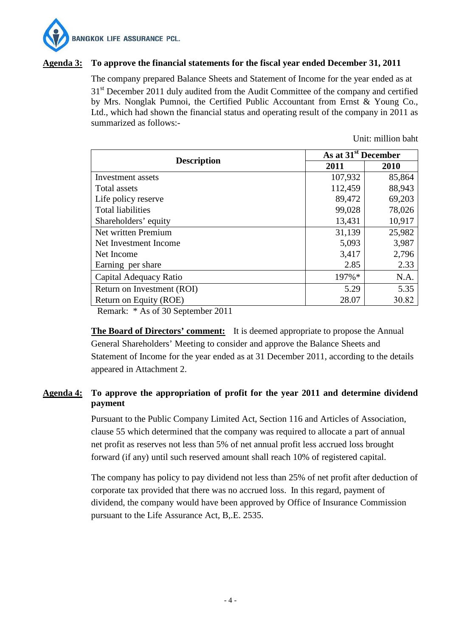

#### **Agenda 3: To approve the financial statements for the fiscal year ended December 31, 2011**

 The company prepared Balance Sheets and Statement of Income for the year ended as at 31<sup>st</sup> December 2011 duly audited from the Audit Committee of the company and certified by Mrs. Nonglak Pumnoi, the Certified Public Accountant from Ernst & Young Co., Ltd., which had shown the financial status and operating result of the company in 2011 as summarized as follows:-

Unit: million baht

| As at 31 <sup>st</sup> December |        |  |
|---------------------------------|--------|--|
| 2011                            | 2010   |  |
| 107,932                         | 85,864 |  |
| 112,459                         | 88,943 |  |
| 89,472                          | 69,203 |  |
| 99,028                          | 78,026 |  |
| 13,431                          | 10,917 |  |
| 31,139                          | 25,982 |  |
| 5,093                           | 3,987  |  |
| 3,417                           | 2,796  |  |
| 2.85                            | 2.33   |  |
| 197%*                           | N.A.   |  |
| 5.29                            | 5.35   |  |
| 28.07                           | 30.82  |  |
|                                 |        |  |

Remark: \* As of 30 September 2011

**The Board of Directors' comment:** It is deemed appropriate to propose the Annual General Shareholders' Meeting to consider and approve the Balance Sheets and Statement of Income for the year ended as at 31 December 2011, according to the details appeared in Attachment 2.

## **Agenda 4: To approve the appropriation of profit for the year 2011 and determine dividend payment**

Pursuant to the Public Company Limited Act, Section 116 and Articles of Association, clause 55 which determined that the company was required to allocate a part of annual net profit as reserves not less than 5% of net annual profit less accrued loss brought forward (if any) until such reserved amount shall reach 10% of registered capital.

The company has policy to pay dividend not less than 25% of net profit after deduction of corporate tax provided that there was no accrued loss. In this regard, payment of dividend, the company would have been approved by Office of Insurance Commission pursuant to the Life Assurance Act, B,.E. 2535.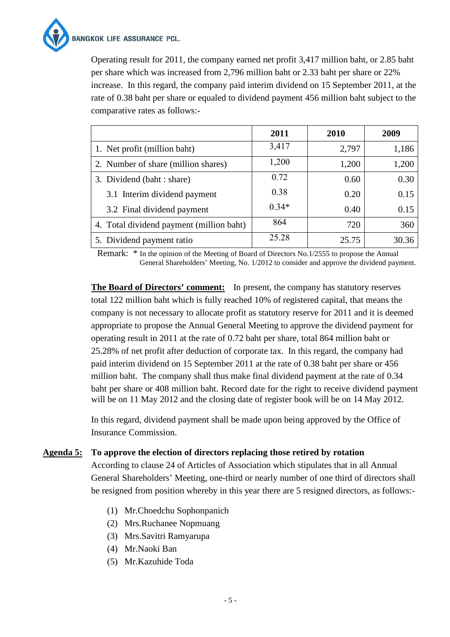

Operating result for 2011, the company earned net profit 3,417 million baht, or 2.85 baht per share which was increased from 2,796 million baht or 2.33 baht per share or 22% increase. In this regard, the company paid interim dividend on 15 September 2011, at the rate of 0.38 baht per share or equaled to dividend payment 456 million baht subject to the comparative rates as follows:-

|                                          | 2011    | 2010  | 2009  |
|------------------------------------------|---------|-------|-------|
| 1. Net profit (million baht)             | 3,417   | 2,797 | 1,186 |
| 2. Number of share (million shares)      | 1,200   | 1,200 | 1,200 |
| 3. Dividend (baht : share)               | 0.72    | 0.60  | 0.30  |
| 3.1 Interim dividend payment             | 0.38    | 0.20  | 0.15  |
| 3.2 Final dividend payment               | $0.34*$ | 0.40  | 0.15  |
| 4. Total dividend payment (million baht) | 864     | 720   | 360   |
| 5. Dividend payment ratio                | 25.28   | 25.75 | 30.36 |

Remark: \* In the opinion of the Meeting of Board of Directors No.1/2555 to propose the Annual General Shareholders' Meeting, No. 1/2012 to consider and approve the dividend payment.

**The Board of Directors' comment:** In present, the company has statutory reserves total 122 million baht which is fully reached 10% of registered capital, that means the company is not necessary to allocate profit as statutory reserve for 2011 and it is deemed appropriate to propose the Annual General Meeting to approve the dividend payment for operating result in 2011 at the rate of 0.72 baht per share, total 864 million baht or 25.28% of net profit after deduction of corporate tax. In this regard, the company had paid interim dividend on 15 September 2011 at the rate of 0.38 baht per share or 456 million baht. The company shall thus make final dividend payment at the rate of 0.34 baht per share or 408 million baht. Record date for the right to receive dividend payment will be on 11 May 2012 and the closing date of register book will be on 14 May 2012.

 In this regard, dividend payment shall be made upon being approved by the Office of Insurance Commission.

#### **Agenda 5: To approve the election of directors replacing those retired by rotation**

According to clause 24 of Articles of Association which stipulates that in all Annual General Shareholders' Meeting, one-third or nearly number of one third of directors shall be resigned from position whereby in this year there are 5 resigned directors, as follows:-

- (1) Mr.Choedchu Sophonpanich
- (2) Mrs.Ruchanee Nopmuang
- (3) Mrs.Savitri Ramyarupa
- (4) Mr.Naoki Ban
- (5) Mr.Kazuhide Toda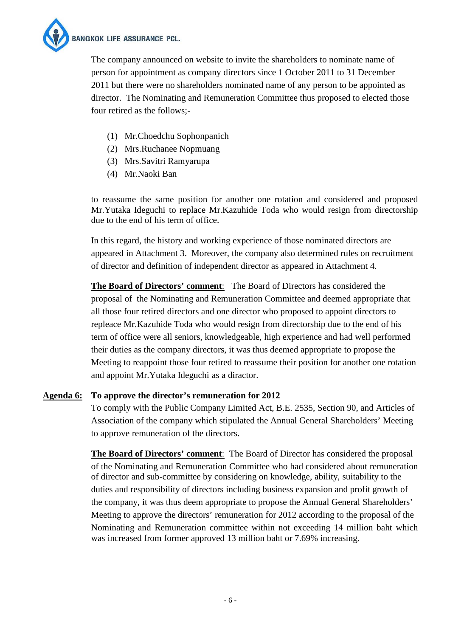**BANGKOK LIFE ASSURANCE PCL.** 

The company announced on website to invite the shareholders to nominate name of person for appointment as company directors since 1 October 2011 to 31 December 2011 but there were no shareholders nominated name of any person to be appointed as director. The Nominating and Remuneration Committee thus proposed to elected those four retired as the follows;-

- (1) Mr.Choedchu Sophonpanich
- (2) Mrs.Ruchanee Nopmuang
- (3) Mrs.Savitri Ramyarupa
- (4) Mr.Naoki Ban

to reassume the same position for another one rotation and considered and proposed Mr.Yutaka Ideguchi to replace Mr.Kazuhide Toda who would resign from directorship due to the end of his term of office.

In this regard, the history and working experience of those nominated directors are appeared in Attachment 3. Moreover, the company also determined rules on recruitment of director and definition of independent director as appeared in Attachment 4.

**The Board of Directors' comment**: The Board of Directors has considered the proposal of the Nominating and Remuneration Committee and deemed appropriate that all those four retired directors and one director who proposed to appoint directors to repleace Mr.Kazuhide Toda who would resign from directorship due to the end of his term of office were all seniors, knowledgeable, high experience and had well performed their duties as the company directors, it was thus deemed appropriate to propose the Meeting to reappoint those four retired to reassume their position for another one rotation and appoint Mr.Yutaka Ideguchi as a diractor.

## **Agenda 6: To approve the director's remuneration for 2012**

To comply with the Public Company Limited Act, B.E. 2535, Section 90, and Articles of Association of the company which stipulated the Annual General Shareholders' Meeting to approve remuneration of the directors.

**The Board of Directors' comment**: The Board of Director has considered the proposal of the Nominating and Remuneration Committee who had considered about remuneration of director and sub-committee by considering on knowledge, ability, suitability to the duties and responsibility of directors including business expansion and profit growth of the company, it was thus deem appropriate to propose the Annual General Shareholders' Meeting to approve the directors' remuneration for 2012 according to the proposal of the Nominating and Remuneration committee within not exceeding 14 million baht which was increased from former approved 13 million baht or 7.69% increasing.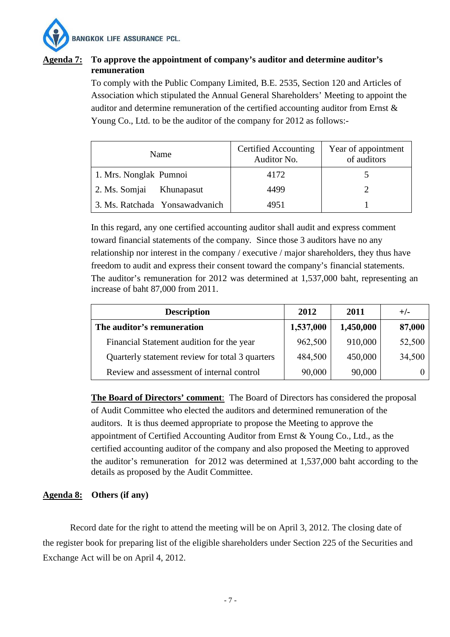

## **Agenda 7: To approve the appointment of company's auditor and determine auditor's remuneration**

To comply with the Public Company Limited, B.E. 2535, Section 120 and Articles of Association which stipulated the Annual General Shareholders' Meeting to appoint the auditor and determine remuneration of the certified accounting auditor from Ernst & Young Co., Ltd. to be the auditor of the company for 2012 as follows:-

| Name                           | Certified Accounting<br>Auditor No. | Year of appointment<br>of auditors |
|--------------------------------|-------------------------------------|------------------------------------|
| 1. Mrs. Nonglak Pumnoi         | 4172                                |                                    |
| 2. Ms. Somjai<br>Khunapasut    | 4499                                |                                    |
| 3. Ms. Ratchada Yonsawadvanich | 4951                                |                                    |

In this regard, any one certified accounting auditor shall audit and express comment toward financial statements of the company. Since those 3 auditors have no any relationship nor interest in the company / executive / major shareholders, they thus have freedom to audit and express their consent toward the company's financial statements. The auditor's remuneration for 2012 was determined at 1,537,000 baht, representing an increase of baht 87,000 from 2011.

| <b>Description</b>                              | 2012      | 2011      | $+/-$  |
|-------------------------------------------------|-----------|-----------|--------|
| The auditor's remuneration                      | 1,537,000 | 1,450,000 | 87,000 |
| Financial Statement audition for the year       | 962,500   | 910,000   | 52,500 |
| Quarterly statement review for total 3 quarters | 484,500   | 450,000   | 34,500 |
| Review and assessment of internal control       | 90,000    | 90,000    |        |

**The Board of Directors' comment**: The Board of Directors has considered the proposal of Audit Committee who elected the auditors and determined remuneration of the auditors. It is thus deemed appropriate to propose the Meeting to approve the appointment of Certified Accounting Auditor from Ernst & Young Co., Ltd., as the certified accounting auditor of the company and also proposed the Meeting to approved the auditor's remuneration for 2012 was determined at 1,537,000 baht according to the details as proposed by the Audit Committee.

## **Agenda 8: Others (if any)**

Record date for the right to attend the meeting will be on April 3, 2012. The closing date of the register book for preparing list of the eligible shareholders under Section 225 of the Securities and Exchange Act will be on April 4, 2012.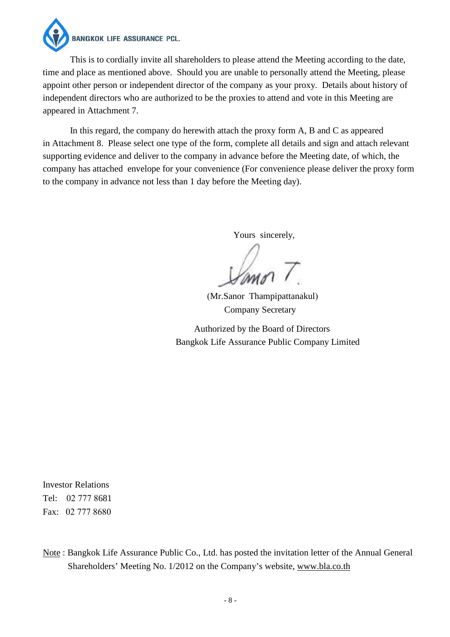**BANGKOK LIFE ASSURANCE PCL.** 

This is to cordially invite all shareholders to please attend the Meeting according to the date, time and place as mentioned above. Should you are unable to personally attend the Meeting, please appoint other person or independent director of the company as your proxy. Details about history of independent directors who are authorized to be the proxies to attend and vote in this Meeting are appeared in Attachment 7.

In this regard, the company do herewith attach the proxy form A, B and C as appeared in Attachment 8. Please select one type of the form, complete all details and sign and attach relevant supporting evidence and deliver to the company in advance before the Meeting date, of which, the company has attached envelope for your convenience (For convenience please deliver the proxy form to the company in advance not less than 1 day before the Meeting day).

Yours sincerely,

 (Mr.Sanor Thampipattanakul) Company Secretary

 Authorized by the Board of Directors Bangkok Life Assurance Public Company Limited

Investor Relations Tel: 02 777 8681 Fax: 02 777 8680

Note : Bangkok Life Assurance Public Co., Ltd. has posted the invitation letter of the Annual General Shareholders' Meeting No. 1/2012 on the Company's website, www.bla.co.th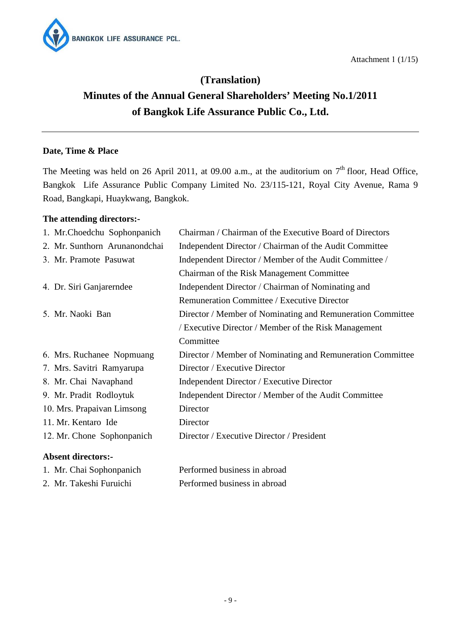



# **(Translation) Minutes of the Annual General Shareholders' Meeting No.1/2011 of Bangkok Life Assurance Public Co., Ltd.**

## **Date, Time & Place**

The Meeting was held on 26 April 2011, at 09.00 a.m., at the auditorium on  $7<sup>th</sup>$  floor, Head Office, Bangkok Life Assurance Public Company Limited No. 23/115-121, Royal City Avenue, Rama 9 Road, Bangkapi, Huaykwang, Bangkok.

## **The attending directors:-**

| <b>Absent directors:-</b>     |                                                            |
|-------------------------------|------------------------------------------------------------|
| 12. Mr. Chone Sophonpanich    | Director / Executive Director / President                  |
| 11. Mr. Kentaro Ide           | Director                                                   |
| 10. Mrs. Prapaivan Limsong    | Director                                                   |
| 9. Mr. Pradit Rodloytuk       | Independent Director / Member of the Audit Committee       |
| 8. Mr. Chai Navaphand         | Independent Director / Executive Director                  |
| 7. Mrs. Savitri Ramyarupa     | Director / Executive Director                              |
| 6. Mrs. Ruchanee Nopmuang     | Director / Member of Nominating and Remuneration Committee |
|                               | Committee                                                  |
|                               | / Executive Director / Member of the Risk Management       |
| 5. Mr. Naoki Ban              | Director / Member of Nominating and Remuneration Committee |
|                               | Remuneration Committee / Executive Director                |
| 4. Dr. Siri Ganjarerndee      | Independent Director / Chairman of Nominating and          |
|                               | Chairman of the Risk Management Committee                  |
| 3. Mr. Pramote Pasuwat        | Independent Director / Member of the Audit Committee /     |
| 2. Mr. Sunthorn Arunanondchai | Independent Director / Chairman of the Audit Committee     |
| 1. Mr.Choedchu Sophonpanich   | Chairman / Chairman of the Executive Board of Directors    |

| 1. Mr. Chai Sophonpanich | Performed business in abroad |
|--------------------------|------------------------------|
| 2. Mr. Takeshi Furuichi  | Performed business in abroad |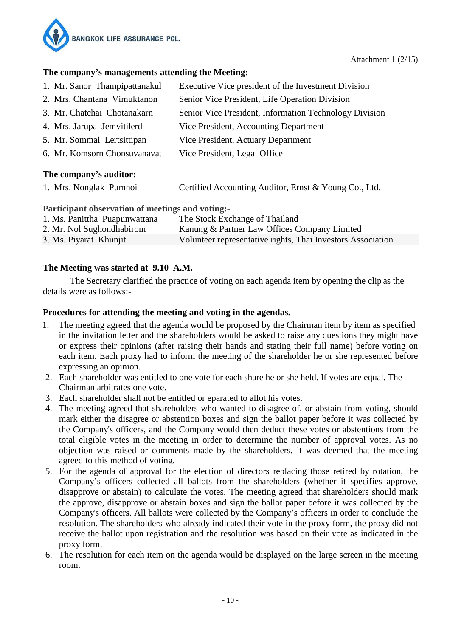

#### **The company's managements attending the Meeting:-**

| 1. Mr. Sanor Thampipattanakul | Executive Vice president of the Investment Division    |  |  |
|-------------------------------|--------------------------------------------------------|--|--|
| 2. Mrs. Chantana Vimuktanon   | Senior Vice President, Life Operation Division         |  |  |
| 3. Mr. Chatchai Chotanakarn   | Senior Vice President, Information Technology Division |  |  |
| 4. Mrs. Jarupa Jemvitilerd    | Vice President, Accounting Department                  |  |  |
| 5. Mr. Sommai Lertsittipan    | Vice President, Actuary Department                     |  |  |
| 6. Mr. Komsorn Chonsuvanavat  | Vice President, Legal Office                           |  |  |
| The company's auditor:-       |                                                        |  |  |
| 1. Mrs. Nonglak Pumnoi        | Certified Accounting Auditor, Ernst & Young Co., Ltd.  |  |  |

#### **Participant observation of meetings and voting:-**

| 1. Ms. Panittha Puapunwattana | The Stock Exchange of Thailand                              |
|-------------------------------|-------------------------------------------------------------|
| 2. Mr. Nol Sughondhabirom     | Kanung & Partner Law Offices Company Limited                |
| 3. Ms. Piyarat Khunjit        | Volunteer representative rights, Thai Investors Association |

## **The Meeting was started at 9.10 A.M.**

The Secretary clarified the practice of voting on each agenda item by opening the clip as the details were as follows:-

## **Procedures for attending the meeting and voting in the agendas.**

- 1. The meeting agreed that the agenda would be proposed by the Chairman item by item as specified in the invitation letter and the shareholders would be asked to raise any questions they might have or express their opinions (after raising their hands and stating their full name) before voting on each item. Each proxy had to inform the meeting of the shareholder he or she represented before expressing an opinion.
- 2. Each shareholder was entitled to one vote for each share he or she held. If votes are equal, The Chairman arbitrates one vote.
- 3. Each shareholder shall not be entitled or eparated to allot his votes.
- 4. The meeting agreed that shareholders who wanted to disagree of, or abstain from voting, should mark either the disagree or abstention boxes and sign the ballot paper before it was collected by the Company's officers, and the Company would then deduct these votes or abstentions from the total eligible votes in the meeting in order to determine the number of approval votes. As no objection was raised or comments made by the shareholders, it was deemed that the meeting agreed to this method of voting.
- 5. For the agenda of approval for the election of directors replacing those retired by rotation, the Company's officers collected all ballots from the shareholders (whether it specifies approve, disapprove or abstain) to calculate the votes. The meeting agreed that shareholders should mark the approve, disapprove or abstain boxes and sign the ballot paper before it was collected by the Company's officers. All ballots were collected by the Company's officers in order to conclude the resolution. The shareholders who already indicated their vote in the proxy form, the proxy did not receive the ballot upon registration and the resolution was based on their vote as indicated in the proxy form.
- 6. The resolution for each item on the agenda would be displayed on the large screen in the meeting room.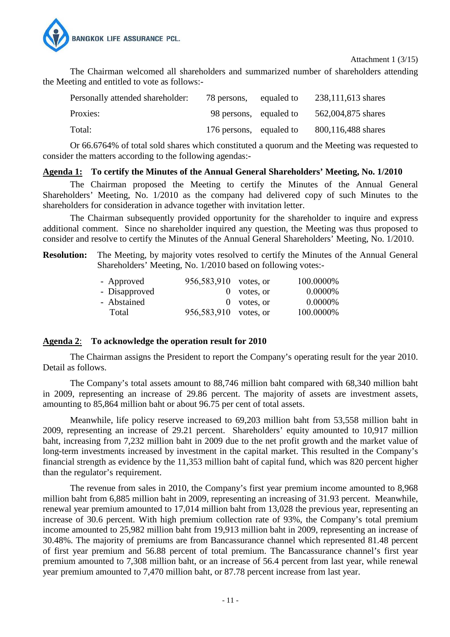

Attachment 1 (3/15)

The Chairman welcomed all shareholders and summarized number of shareholders attending the Meeting and entitled to vote as follows:-

| Personally attended shareholder: | 78 persons,             | equaled to | 238,111,613 shares |
|----------------------------------|-------------------------|------------|--------------------|
| Proxies:                         | 98 persons, equaled to  |            | 562,004,875 shares |
| Total:                           | 176 persons, equaled to |            | 800,116,488 shares |

Or 66.6764% of total sold shares which constituted a quorum and the Meeting was requested to consider the matters according to the following agendas:-

#### **Agenda 1: To certify the Minutes of the Annual General Shareholders' Meeting, No. 1/2010**

The Chairman proposed the Meeting to certify the Minutes of the Annual General Shareholders' Meeting, No. 1/2010 as the company had delivered copy of such Minutes to the shareholders for consideration in advance together with invitation letter.

The Chairman subsequently provided opportunity for the shareholder to inquire and express additional comment. Since no shareholder inquired any question, the Meeting was thus proposed to consider and resolve to certify the Minutes of the Annual General Shareholders' Meeting, No. 1/2010.

**Resolution:** The Meeting, by majority votes resolved to certify the Minutes of the Annual General Shareholders' Meeting, No. 1/2010 based on following votes:-

|  | 100.0000%                                                                        |
|--|----------------------------------------------------------------------------------|
|  | 0.0000%                                                                          |
|  | 0.0000%                                                                          |
|  | 100.0000%                                                                        |
|  | 956,583,910 votes, or<br>$0$ votes, or<br>$0$ votes, or<br>956,583,910 votes, or |

#### **Agenda 2**: **To acknowledge the operation result for 2010**

The Chairman assigns the President to report the Company's operating result for the year 2010. Detail as follows.

The Company's total assets amount to 88,746 million baht compared with 68,340 million baht in 2009, representing an increase of 29.86 percent. The majority of assets are investment assets, amounting to 85,864 million baht or about 96.75 per cent of total assets.

Meanwhile, life policy reserve increased to 69,203 million baht from 53,558 million baht in 2009, representing an increase of 29.21 percent. Shareholders' equity amounted to 10,917 million baht, increasing from 7,232 million baht in 2009 due to the net profit growth and the market value of long-term investments increased by investment in the capital market. This resulted in the Company's financial strength as evidence by the 11,353 million baht of capital fund, which was 820 percent higher than the regulator's requirement.

The revenue from sales in 2010, the Company's first year premium income amounted to 8,968 million baht from 6,885 million baht in 2009, representing an increasing of 31.93 percent. Meanwhile, renewal year premium amounted to 17,014 million baht from 13,028 the previous year, representing an increase of 30.6 percent. With high premium collection rate of 93%, the Company's total premium income amounted to 25,982 million baht from 19,913 million baht in 2009, representing an increase of 30.48%. The majority of premiums are from Bancassurance channel which represented 81.48 percent of first year premium and 56.88 percent of total premium. The Bancassurance channel's first year premium amounted to 7,308 million baht, or an increase of 56.4 percent from last year, while renewal year premium amounted to 7,470 million baht, or 87.78 percent increase from last year.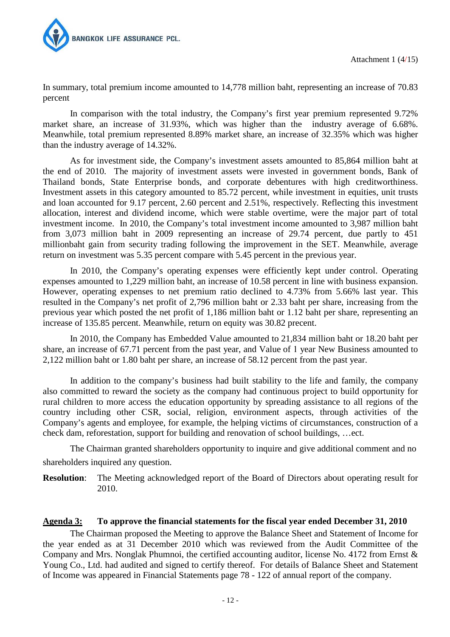

In summary, total premium income amounted to 14,778 million baht, representing an increase of 70.83 percent

In comparison with the total industry, the Company's first year premium represented 9.72% market share, an increase of 31.93%, which was higher than the industry average of 6.68%. Meanwhile, total premium represented 8.89% market share, an increase of 32.35% which was higher than the industry average of 14.32%.

As for investment side, the Company's investment assets amounted to 85,864 million baht at the end of 2010. The majority of investment assets were invested in government bonds, Bank of Thailand bonds, State Enterprise bonds, and corporate debentures with high creditworthiness. Investment assets in this category amounted to 85.72 percent, while investment in equities, unit trusts and loan accounted for 9.17 percent, 2.60 percent and 2.51%, respectively. Reflecting this investment allocation, interest and dividend income, which were stable overtime, were the major part of total investment income. In 2010, the Company's total investment income amounted to 3,987 million baht from 3,073 million baht in 2009 representing an increase of 29.74 percent, due partly to 451 millionbaht gain from security trading following the improvement in the SET. Meanwhile, average return on investment was 5.35 percent compare with 5.45 percent in the previous year.

In 2010, the Company's operating expenses were efficiently kept under control. Operating expenses amounted to 1,229 million baht, an increase of 10.58 percent in line with business expansion. However, operating expenses to net premium ratio declined to 4.73% from 5.66% last year. This resulted in the Company's net profit of 2,796 million baht or 2.33 baht per share, increasing from the previous year which posted the net profit of 1,186 million baht or 1.12 baht per share, representing an increase of 135.85 percent. Meanwhile, return on equity was 30.82 precent.

In 2010, the Company has Embedded Value amounted to 21,834 million baht or 18.20 baht per share, an increase of 67.71 percent from the past year, and Value of 1 year New Business amounted to 2,122 million baht or 1.80 baht per share, an increase of 58.12 percent from the past year.

In addition to the company's business had built stability to the life and family, the company also committed to reward the society as the company had continuous project to build opportunity for rural children to more access the education opportunity by spreading assistance to all regions of the country including other CSR, social, religion, environment aspects, through activities of the Company's agents and employee, for example, the helping victims of circumstances, construction of a check dam, reforestation, support for building and renovation of school buildings, …ect.

The Chairman granted shareholders opportunity to inquire and give additional comment and no shareholders inquired any question.

**Resolution**: The Meeting acknowledged report of the Board of Directors about operating result for 2010.

## **Agenda 3: To approve the financial statements for the fiscal year ended December 31, 2010**

The Chairman proposed the Meeting to approve the Balance Sheet and Statement of Income for the year ended as at 31 December 2010 which was reviewed from the Audit Committee of the Company and Mrs. Nonglak Phumnoi, the certified accounting auditor, license No. 4172 from Ernst & Young Co., Ltd. had audited and signed to certify thereof. For details of Balance Sheet and Statement of Income was appeared in Financial Statements page 78 - 122 of annual report of the company.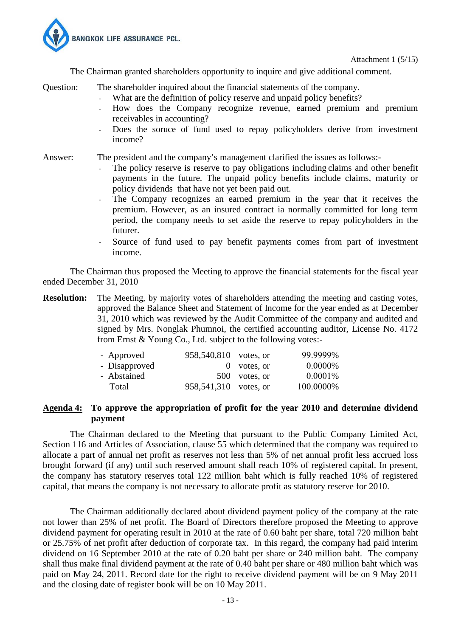

Attachment 1 (5/15)

The Chairman granted shareholders opportunity to inquire and give additional comment.

Question: The shareholder inquired about the financial statements of the company.

- What are the definition of policy reserve and unpaid policy benefits?
- How does the Company recognize revenue, earned premium and premium receivables in accounting?
- Does the soruce of fund used to repay policyholders derive from investment income?

Answer: The president and the company's management clarified the issues as follows:-

- The policy reserve is reserve to pay obligations including claims and other benefit payments in the future. The unpaid policy benefits include claims, maturity or policy dividends that have not yet been paid out.
- The Company recognizes an earned premium in the year that it receives the premium. However, as an insured contract ia normally committed for long term period, the company needs to set aside the reserve to repay policyholders in the futurer.
- Source of fund used to pay benefit payments comes from part of investment income.

The Chairman thus proposed the Meeting to approve the financial statements for the fiscal year ended December 31, 2010

**Resolution:** The Meeting, by majority votes of shareholders attending the meeting and casting votes, approved the Balance Sheet and Statement of Income for the year ended as at December 31, 2010 which was reviewed by the Audit Committee of the company and audited and signed by Mrs. Nonglak Phumnoi, the certified accounting auditor, License No. 4172 from Ernst & Young Co., Ltd. subject to the following votes:-

|  | 99.9999%                                                                         |
|--|----------------------------------------------------------------------------------|
|  | 0.0000\%                                                                         |
|  | $0.0001\%$                                                                       |
|  | 100.0000%                                                                        |
|  | 958,540,810 votes, or<br>$0$ votes, or<br>500 votes, or<br>958,541,310 votes, or |

#### **Agenda 4: To approve the appropriation of profit for the year 2010 and determine dividend payment**

 The Chairman declared to the Meeting that pursuant to the Public Company Limited Act, Section 116 and Articles of Association, clause 55 which determined that the company was required to allocate a part of annual net profit as reserves not less than 5% of net annual profit less accrued loss brought forward (if any) until such reserved amount shall reach 10% of registered capital. In present, the company has statutory reserves total 122 million baht which is fully reached 10% of registered capital, that means the company is not necessary to allocate profit as statutory reserve for 2010.

 The Chairman additionally declared about dividend payment policy of the company at the rate not lower than 25% of net profit. The Board of Directors therefore proposed the Meeting to approve dividend payment for operating result in 2010 at the rate of 0.60 baht per share, total 720 million baht or 25.75% of net profit after deduction of corporate tax. In this regard, the company had paid interim dividend on 16 September 2010 at the rate of 0.20 baht per share or 240 million baht. The company shall thus make final dividend payment at the rate of 0.40 baht per share or 480 million baht which was paid on May 24, 2011. Record date for the right to receive dividend payment will be on 9 May 2011 and the closing date of register book will be on 10 May 2011.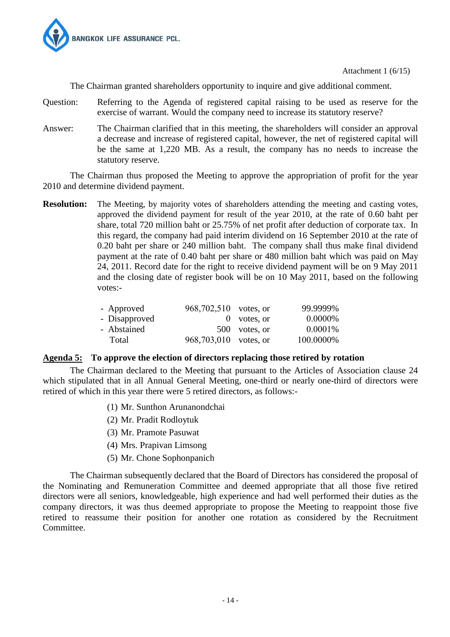

Attachment 1 (6/15)

The Chairman granted shareholders opportunity to inquire and give additional comment.

- Question: Referring to the Agenda of registered capital raising to be used as reserve for the exercise of warrant. Would the company need to increase its statutory reserve?
- Answer: The Chairman clarified that in this meeting, the shareholders will consider an approval a decrease and increase of registered capital, however, the net of registered capital will be the same at 1,220 MB. As a result, the company has no needs to increase the statutory reserve.

The Chairman thus proposed the Meeting to approve the appropriation of profit for the year 2010 and determine dividend payment.

**Resolution:** The Meeting, by majority votes of shareholders attending the meeting and casting votes, approved the dividend payment for result of the year 2010, at the rate of 0.60 baht per share, total 720 million baht or 25.75% of net profit after deduction of corporate tax. In this regard, the company had paid interim dividend on 16 September 2010 at the rate of 0.20 baht per share or 240 million baht. The company shall thus make final dividend payment at the rate of 0.40 baht per share or 480 million baht which was paid on May 24, 2011. Record date for the right to receive dividend payment will be on 9 May 2011 and the closing date of register book will be on 10 May 2011, based on the following votes:-

| - Approved    | 968,702,510 votes, or |               | 99.9999%   |
|---------------|-----------------------|---------------|------------|
| - Disapproved |                       | $0$ votes, or | 0.0000%    |
| - Abstained   |                       | 500 votes, or | $0.0001\%$ |
| Total         | 968,703,010 votes, or |               | 100.0000%  |

#### **Agenda 5: To approve the election of directors replacing those retired by rotation**

The Chairman declared to the Meeting that pursuant to the Articles of Association clause 24 which stipulated that in all Annual General Meeting, one-third or nearly one-third of directors were retired of which in this year there were 5 retired directors, as follows:-

- (1) Mr. Sunthon Arunanondchai
- (2) Mr. Pradit Rodloytuk
- (3) Mr. Pramote Pasuwat
- (4) Mrs. Prapivan Limsong
- (5) Mr. Chone Sophonpanich

The Chairman subsequently declared that the Board of Directors has considered the proposal of the Nominating and Remuneration Committee and deemed appropriate that all those five retired directors were all seniors, knowledgeable, high experience and had well performed their duties as the company directors, it was thus deemed appropriate to propose the Meeting to reappoint those five retired to reassume their position for another one rotation as considered by the Recruitment Committee.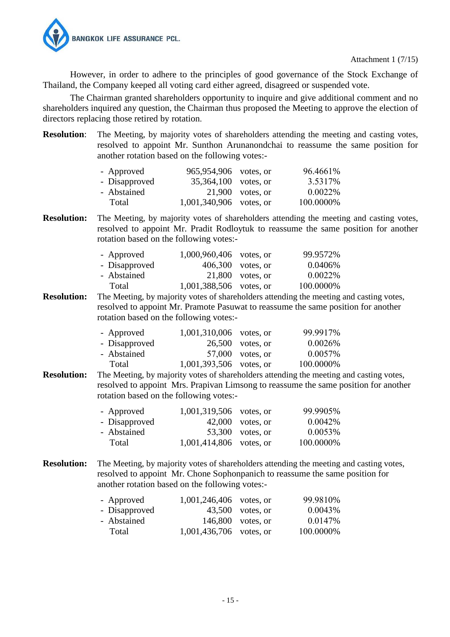

However, in order to adhere to the principles of good governance of the Stock Exchange of Thailand, the Company keeped all voting card either agreed, disagreed or suspended vote.

The Chairman granted shareholders opportunity to inquire and give additional comment and no shareholders inquired any question, the Chairman thus proposed the Meeting to approve the election of directors replacing those retired by rotation.

**Resolution:** The Meeting, by majority votes of shareholders attending the meeting and casting votes, resolved to appoint Mr. Sunthon Arunanondchai to reassume the same position for another rotation based on the following votes:-

| - Approved    | 965,954,906 votes, or     |                    | 96.4661\% |
|---------------|---------------------------|--------------------|-----------|
| - Disapproved | 35,364,100 votes, or      |                    | 3.5317%   |
| - Abstained   |                           | $21,900$ votes, or | 0.0022\%  |
| Total         | $1,001,340,906$ votes, or |                    | 100.0000% |

**Resolution:** The Meeting, by majority votes of shareholders attending the meeting and casting votes, resolved to appoint Mr. Pradit Rodloytuk to reassume the same position for another rotation based on the following votes:-

| - Approved    | 1,000,960,406 votes, or |                     | 99.9572%  |
|---------------|-------------------------|---------------------|-----------|
| - Disapproved |                         | $406,300$ votes, or | 0.0406%   |
| - Abstained   |                         | $21,800$ votes, or  | 0.0022%   |
| Total         | 1,001,388,506 votes, or |                     | 100.0000% |

**Resolution:** The Meeting, by majority votes of shareholders attending the meeting and casting votes, resolved to appoint Mr. Pramote Pasuwat to reassume the same position for another rotation based on the following votes:-

| - Approved    | $1,001,310,006$ votes, or |                    | 99.9917%  |
|---------------|---------------------------|--------------------|-----------|
| - Disapproved |                           | $26,500$ votes, or | 0.0026%   |
| - Abstained   |                           | $57,000$ votes, or | 0.0057%   |
| Total         | 1,001,393,506 votes, or   |                    | 100.0000% |

**Resolution:** The Meeting, by majority votes of shareholders attending the meeting and casting votes, resolved to appoint Mrs. Prapivan Limsong to reassume the same position for another rotation based on the following votes:-

| - Approved    | 1,001,319,506 votes, or |                    | 99.9905%  |
|---------------|-------------------------|--------------------|-----------|
| - Disapproved |                         | $42,000$ votes, or | 0.0042%   |
| - Abstained   |                         | 53,300 votes, or   | 0.0053%   |
| Total         | 1,001,414,806 votes, or |                    | 100.0000% |

**Resolution:** The Meeting, by majority votes of shareholders attending the meeting and casting votes, resolved to appoint Mr. Chone Sophonpanich to reassume the same position for another rotation based on the following votes:-

| - Approved    | $1,001,246,406$ votes, or |                    | 99.9810%  |
|---------------|---------------------------|--------------------|-----------|
| - Disapproved |                           | $43,500$ votes, or | 0.0043%   |
| - Abstained   |                           | 146,800 votes, or  | 0.0147%   |
| Total         | $1,001,436,706$ votes, or |                    | 100.0000% |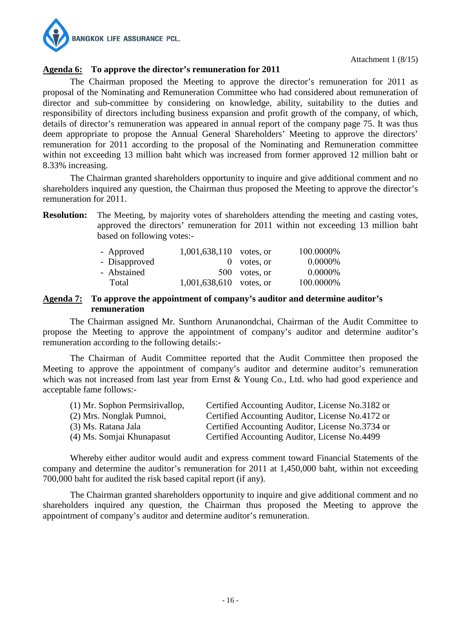

## **Agenda 6: To approve the director's remuneration for 2011**

The Chairman proposed the Meeting to approve the director's remuneration for 2011 as proposal of the Nominating and Remuneration Committee who had considered about remuneration of director and sub-committee by considering on knowledge, ability, suitability to the duties and responsibility of directors including business expansion and profit growth of the company, of which, details of director's remuneration was appeared in annual report of the company page 75. It was thus deem appropriate to propose the Annual General Shareholders' Meeting to approve the directors' remuneration for 2011 according to the proposal of the Nominating and Remuneration committee within not exceeding 13 million baht which was increased from former approved 12 million baht or 8.33% increasing.

The Chairman granted shareholders opportunity to inquire and give additional comment and no shareholders inquired any question, the Chairman thus proposed the Meeting to approve the director's remuneration for 2011.

**Resolution:** The Meeting, by majority votes of shareholders attending the meeting and casting votes, approved the directors' remuneration for 2011 within not exceeding 13 million baht based on following votes:-

| - Approved    | $1,001,638,110$ votes, or |               | 100.0000% |
|---------------|---------------------------|---------------|-----------|
| - Disapproved |                           | $0$ votes, or | 0.0000\%  |
| - Abstained   |                           | 500 votes, or | 0.0000\%  |
| Total         | $1,001,638,610$ votes, or |               | 100.0000% |

#### **Agenda 7: To approve the appointment of company's auditor and determine auditor's remuneration**

The Chairman assigned Mr. Sunthorn Arunanondchai, Chairman of the Audit Committee to propose the Meeting to approve the appointment of company's auditor and determine auditor's remuneration according to the following details:-

The Chairman of Audit Committee reported that the Audit Committee then proposed the Meeting to approve the appointment of company's auditor and determine auditor's remuneration which was not increased from last year from Ernst & Young Co., Ltd. who had good experience and acceptable fame follows:-

| (1) Mr. Sophon Permsirivallop, | Certified Accounting Auditor, License No.3182 or |
|--------------------------------|--------------------------------------------------|
| (2) Mrs. Nonglak Pumnoi,       | Certified Accounting Auditor, License No.4172 or |
| (3) Ms. Ratana Jala            | Certified Accounting Auditor, License No.3734 or |
| (4) Ms. Somjai Khunapasut      | Certified Accounting Auditor, License No.4499    |

Whereby either auditor would audit and express comment toward Financial Statements of the company and determine the auditor's remuneration for 2011 at 1,450,000 baht, within not exceeding 700,000 baht for audited the risk based capital report (if any).

The Chairman granted shareholders opportunity to inquire and give additional comment and no shareholders inquired any question, the Chairman thus proposed the Meeting to approve the appointment of company's auditor and determine auditor's remuneration.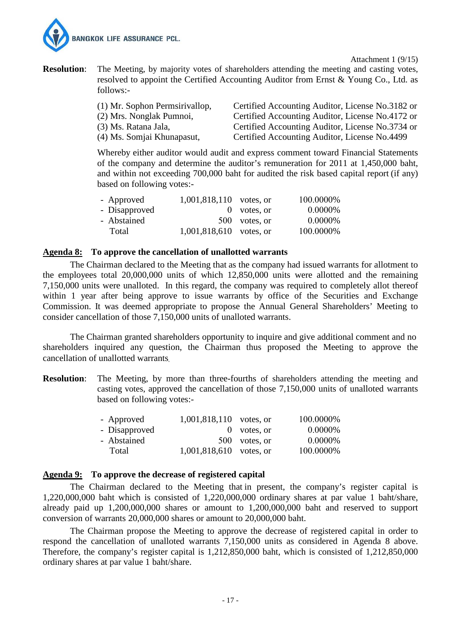

Attachment 1 (9/15)

**Resolution:** The Meeting, by majority votes of shareholders attending the meeting and casting votes, resolved to appoint the Certified Accounting Auditor from Ernst & Young Co., Ltd. as follows:-

| (1) Mr. Sophon Permsirivallop, | Certified Accounting Auditor, License No.3182 or |
|--------------------------------|--------------------------------------------------|
| (2) Mrs. Nonglak Pumnoi,       | Certified Accounting Auditor, License No.4172 or |
| $(3)$ Ms. Ratana Jala,         | Certified Accounting Auditor, License No.3734 or |
| (4) Ms. Somjai Khunapasut,     | Certified Accounting Auditor, License No.4499    |

Whereby either auditor would audit and express comment toward Financial Statements of the company and determine the auditor's remuneration for 2011 at 1,450,000 baht, and within not exceeding 700,000 baht for audited the risk based capital report (if any) based on following votes:-

| - Approved    | 1,001,818,110 votes, or |               | 100.0000% |
|---------------|-------------------------|---------------|-----------|
| - Disapproved |                         | $0$ votes, or | 0.0000%   |
| - Abstained   |                         | 500 votes, or | 0.0000%   |
| Total         | 1,001,818,610 votes, or |               | 100.0000% |

#### **Agenda 8: To approve the cancellation of unallotted warrants**

 The Chairman declared to the Meeting that as the company had issued warrants for allotment to the employees total 20,000,000 units of which 12,850,000 units were allotted and the remaining 7,150,000 units were unalloted. In this regard, the company was required to completely allot thereof within 1 year after being approve to issue warrants by office of the Securities and Exchange Commission. It was deemed appropriate to propose the Annual General Shareholders' Meeting to consider cancellation of those 7,150,000 units of unalloted warrants.

The Chairman granted shareholders opportunity to inquire and give additional comment and no shareholders inquired any question, the Chairman thus proposed the Meeting to approve the cancellation of unallotted warrants.

**Resolution:** The Meeting, by more than three-fourths of shareholders attending the meeting and casting votes, approved the cancellation of those 7,150,000 units of unalloted warrants based on following votes:-

| - Approved    | $1,001,818,110$ votes, or |               | 100.0000% |
|---------------|---------------------------|---------------|-----------|
| - Disapproved |                           | $0$ votes, or | 0.0000%   |
| - Abstained   |                           | 500 votes, or | 0.0000\%  |
| Total         | 1,001,818,610 votes, or   |               | 100.0000% |

#### **Agenda 9: To approve the decrease of registered capital**

 The Chairman declared to the Meeting that in present, the company's register capital is 1,220,000,000 baht which is consisted of 1,220,000,000 ordinary shares at par value 1 baht/share, already paid up 1,200,000,000 shares or amount to 1,200,000,000 baht and reserved to support conversion of warrants 20,000,000 shares or amount to 20,000,000 baht.

The Chairman propose the Meeting to approve the decrease of registered capital in order to respond the cancellation of unalloted warrants 7,150,000 units as considered in Agenda 8 above. Therefore, the company's register capital is 1,212,850,000 baht, which is consisted of 1,212,850,000 ordinary shares at par value 1 baht/share.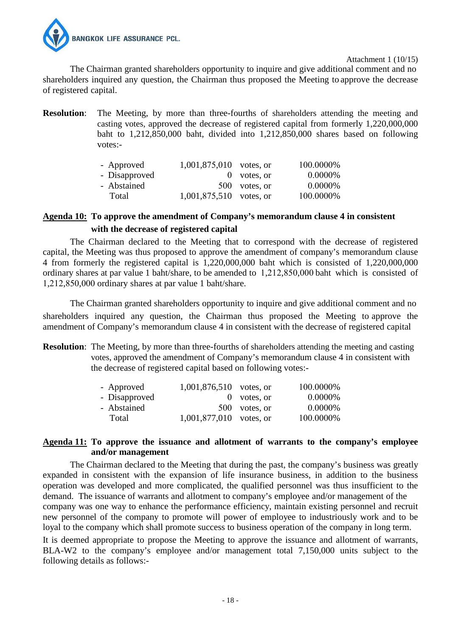

Attachment 1 (10/15)

The Chairman granted shareholders opportunity to inquire and give additional comment and no shareholders inquired any question, the Chairman thus proposed the Meeting to approve the decrease of registered capital.

**Resolution:** The Meeting, by more than three-fourths of shareholders attending the meeting and casting votes, approved the decrease of registered capital from formerly 1,220,000,000 baht to 1,212,850,000 baht, divided into 1,212,850,000 shares based on following votes:-

| - Approved    | $1,001,875,010$ votes, or |               | 100.0000%  |
|---------------|---------------------------|---------------|------------|
| - Disapproved |                           | $0$ votes, or | 0.0000\%   |
| - Abstained   |                           | 500 votes, or | $0.0000\%$ |
| Total         | $1,001,875,510$ votes, or |               | 100.0000%  |

## **Agenda 10: To approve the amendment of Company's memorandum clause 4 in consistent with the decrease of registered capital**

 The Chairman declared to the Meeting that to correspond with the decrease of registered capital, the Meeting was thus proposed to approve the amendment of company's memorandum clause 4 from formerly the registered capital is 1,220,000,000 baht which is consisted of 1,220,000,000 ordinary shares at par value 1 baht/share, to be amended to 1,212,850,000 baht which is consisted of 1,212,850,000 ordinary shares at par value 1 baht/share.

The Chairman granted shareholders opportunity to inquire and give additional comment and no shareholders inquired any question, the Chairman thus proposed the Meeting to approve the amendment of Company's memorandum clause 4 in consistent with the decrease of registered capital

**Resolution:** The Meeting, by more than three-fourths of shareholders attending the meeting and casting votes, approved the amendment of Company's memorandum clause 4 in consistent with the decrease of registered capital based on following votes:-

| - Approved    | $1,001,876,510$ votes, or |               | 100.0000% |
|---------------|---------------------------|---------------|-----------|
| - Disapproved |                           | $0$ votes, or | 0.0000%   |
| - Abstained   |                           | 500 votes, or | 0.0000%   |
| Total         | $1,001,877,010$ votes, or |               | 100.0000% |
|               |                           |               |           |

#### **Agenda 11: To approve the issuance and allotment of warrants to the company's employee and/or management**

 The Chairman declared to the Meeting that during the past, the company's business was greatly expanded in consistent with the expansion of life insurance business, in addition to the business operation was developed and more complicated, the qualified personnel was thus insufficient to the demand. The issuance of warrants and allotment to company's employee and/or management of the company was one way to enhance the performance efficiency, maintain existing personnel and recruit new personnel of the company to promote will power of employee to industriously work and to be loyal to the company which shall promote success to business operation of the company in long term.

It is deemed appropriate to propose the Meeting to approve the issuance and allotment of warrants, BLA-W2 to the company's employee and/or management total 7,150,000 units subject to the following details as follows:-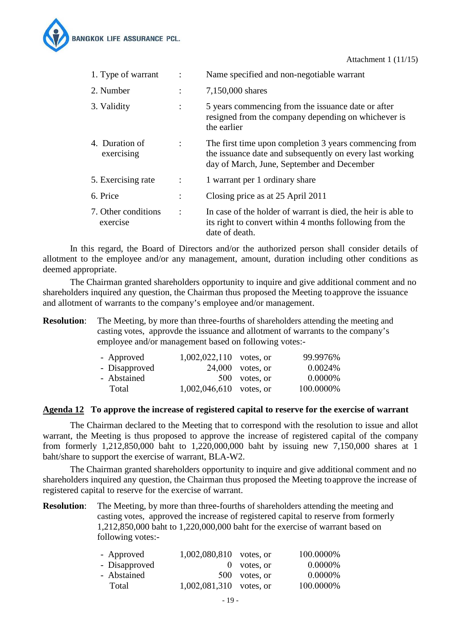

| 1. Type of warrant              |                | Name specified and non-negotiable warrant                                                                                                                        |
|---------------------------------|----------------|------------------------------------------------------------------------------------------------------------------------------------------------------------------|
| 2. Number                       | $\ddot{\cdot}$ | 7,150,000 shares                                                                                                                                                 |
| 3. Validity                     | $\ddot{\cdot}$ | 5 years commencing from the issuance date or after<br>resigned from the company depending on whichever is<br>the earlier                                         |
| 4. Duration of<br>exercising    | $\ddot{\cdot}$ | The first time upon completion 3 years commencing from<br>the issuance date and subsequently on every last working<br>day of March, June, September and December |
| 5. Exercising rate              | $\ddot{\cdot}$ | 1 warrant per 1 ordinary share                                                                                                                                   |
| 6. Price                        | ٠              | Closing price as at 25 April 2011                                                                                                                                |
| 7. Other conditions<br>exercise | $\ddot{\cdot}$ | In case of the holder of warrant is died, the heir is able to<br>its right to convert within 4 months following from the<br>date of death.                       |

 In this regard, the Board of Directors and/or the authorized person shall consider details of allotment to the employee and/or any management, amount, duration including other conditions as deemed appropriate.

The Chairman granted shareholders opportunity to inquire and give additional comment and no shareholders inquired any question, the Chairman thus proposed the Meeting toapprove the issuance and allotment of warrants to the company's employee and/or management.

**Resolution:** The Meeting, by more than three-fourths of shareholders attending the meeting and casting votes, approvde the issuance and allotment of warrants to the company's employee and/or management based on following votes:-

| - Approved    | $1,002,022,110$ votes, or |                    | 99.9976%  |
|---------------|---------------------------|--------------------|-----------|
| - Disapproved |                           | $24,000$ votes, or | 0.0024\%  |
| - Abstained   |                           | 500 votes, or      | 0.0000%   |
| Total         | $1,002,046,610$ votes, or |                    | 100.0000% |

#### **Agenda 12 To approve the increase of registered capital to reserve for the exercise of warrant**

 The Chairman declared to the Meeting that to correspond with the resolution to issue and allot warrant, the Meeting is thus proposed to approve the increase of registered capital of the company from formerly 1,212,850,000 baht to 1,220,000,000 baht by issuing new 7,150,000 shares at 1 baht/share to support the exercise of warrant, BLA-W2.

The Chairman granted shareholders opportunity to inquire and give additional comment and no shareholders inquired any question, the Chairman thus proposed the Meeting toapprove the increase of registered capital to reserve for the exercise of warrant.

**Resolution:** The Meeting, by more than three-fourths of shareholders attending the meeting and casting votes, approved the increase of registered capital to reserve from formerly 1,212,850,000 baht to 1,220,000,000 baht for the exercise of warrant based on following votes:-

| - Approved    | $1,002,080,810$ votes, or |               | 100.0000% |
|---------------|---------------------------|---------------|-----------|
| - Disapproved |                           | $0$ votes, or | 0.0000%   |
| - Abstained   |                           | 500 votes, or | 0.0000%   |
| Total         | $1,002,081,310$ votes, or |               | 100.0000% |
|               |                           |               |           |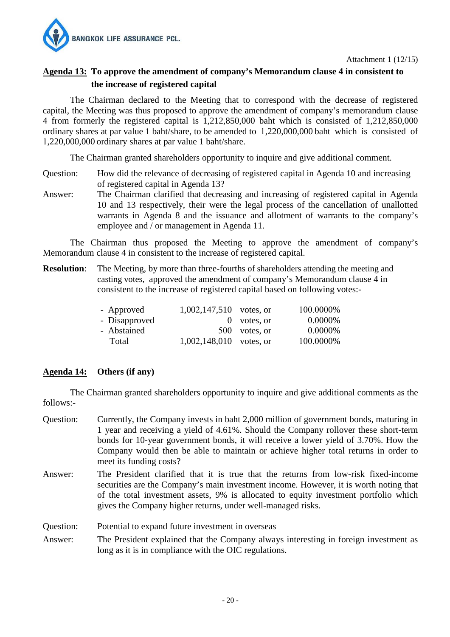

Attachment 1 (12/15)

## **Agenda 13: To approve the amendment of company's Memorandum clause 4 in consistent to the increase of registered capital**

 The Chairman declared to the Meeting that to correspond with the decrease of registered capital, the Meeting was thus proposed to approve the amendment of company's memorandum clause 4 from formerly the registered capital is 1,212,850,000 baht which is consisted of 1,212,850,000 ordinary shares at par value 1 baht/share, to be amended to 1,220,000,000 baht which is consisted of 1,220,000,000 ordinary shares at par value 1 baht/share.

The Chairman granted shareholders opportunity to inquire and give additional comment.

- Question: How did the relevance of decreasing of registered capital in Agenda 10 and increasing of registered capital in Agenda 13?
- Answer: The Chairman clarified that decreasing and increasing of registered capital in Agenda 10 and 13 respectively, their were the legal process of the cancellation of unallotted warrants in Agenda 8 and the issuance and allotment of warrants to the company's employee and / or management in Agenda 11.

The Chairman thus proposed the Meeting to approve the amendment of company's Memorandum clause 4 in consistent to the increase of registered capital.

**Resolution:** The Meeting, by more than three-fourths of shareholders attending the meeting and casting votes, approved the amendment of company's Memorandum clause 4 in consistent to the increase of registered capital based on following votes:-

| - Approved    | $1,002,147,510$ votes, or |               | 100.0000% |
|---------------|---------------------------|---------------|-----------|
| - Disapproved |                           | $0$ votes, or | 0.0000%   |
| - Abstained   |                           | 500 votes, or | 0.0000%   |
| Total         | $1,002,148,010$ votes, or |               | 100.0000% |

## **Agenda 14: Others (if any)**

The Chairman granted shareholders opportunity to inquire and give additional comments as the follows:-

- Question: Currently, the Company invests in baht 2,000 million of government bonds, maturing in 1 year and receiving a yield of 4.61%. Should the Company rollover these short-term bonds for 10-year government bonds, it will receive a lower yield of 3.70%. How the Company would then be able to maintain or achieve higher total returns in order to meet its funding costs?
- Answer: The President clarified that it is true that the returns from low-risk fixed-income securities are the Company's main investment income. However, it is worth noting that of the total investment assets, 9% is allocated to equity investment portfolio which gives the Company higher returns, under well-managed risks.

Question: Potential to expand future investment in overseas

Answer: The President explained that the Company always interesting in foreign investment as long as it is in compliance with the OIC regulations.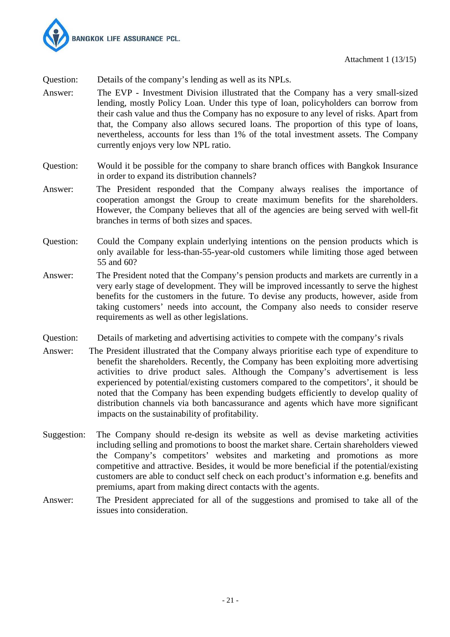

Attachment 1 (13/15)

Question: Details of the company's lending as well as its NPLs.

- Answer: The EVP Investment Division illustrated that the Company has a very small-sized lending, mostly Policy Loan. Under this type of loan, policyholders can borrow from their cash value and thus the Company has no exposure to any level of risks. Apart from that, the Company also allows secured loans. The proportion of this type of loans, nevertheless, accounts for less than 1% of the total investment assets. The Company currently enjoys very low NPL ratio.
- Question: Would it be possible for the company to share branch offices with Bangkok Insurance in order to expand its distribution channels?
- Answer: The President responded that the Company always realises the importance of cooperation amongst the Group to create maximum benefits for the shareholders. However, the Company believes that all of the agencies are being served with well-fit branches in terms of both sizes and spaces.
- Question: Could the Company explain underlying intentions on the pension products which is only available for less-than-55-year-old customers while limiting those aged between 55 and 60?
- Answer: The President noted that the Company's pension products and markets are currently in a very early stage of development. They will be improved incessantly to serve the highest benefits for the customers in the future. To devise any products, however, aside from taking customers' needs into account, the Company also needs to consider reserve requirements as well as other legislations.
- Details of marketing and advertising activities to compete with the company's rivals Question:<br>Answer:
- The President illustrated that the Company always prioritise each type of expenditure to benefit the shareholders. Recently, the Company has been exploiting more advertising activities to drive product sales. Although the Company's advertisement is less experienced by potential/existing customers compared to the competitors', it should be noted that the Company has been expending budgets efficiently to develop quality of distribution channels via both bancassurance and agents which have more significant impacts on the sustainability of profitability.
- Suggestion: The Company should re-design its website as well as devise marketing activities including selling and promotions to boost the market share. Certain shareholders viewed the Company's competitors' websites and marketing and promotions as more competitive and attractive. Besides, it would be more beneficial if the potential/existing customers are able to conduct self check on each product's information e.g. benefits and premiums, apart from making direct contacts with the agents.
- Answer: The President appreciated for all of the suggestions and promised to take all of the issues into consideration.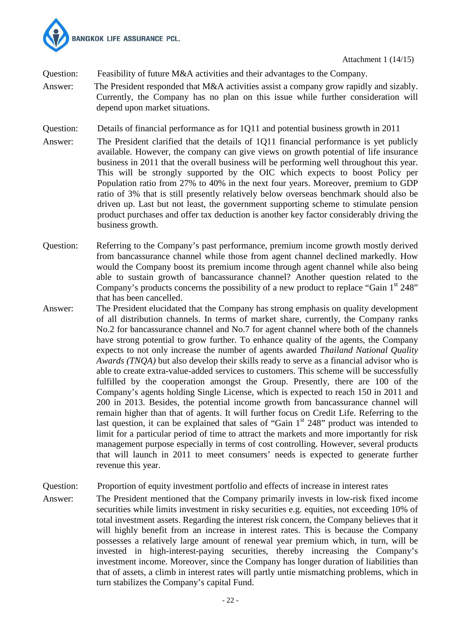

- Question: Feasibility of future M&A activities and their advantages to the Company.
- Answer: The President responded that M&A activities assist a company grow rapidly and sizably. Currently, the Company has no plan on this issue while further consideration will depend upon market situations.
- Question: Details of financial performance as for 1Q11 and potential business growth in 2011
- Answer: The President clarified that the details of 1Q11 financial performance is yet publicly available. However, the company can give views on growth potential of life insurance business in 2011 that the overall business will be performing well throughout this year. This will be strongly supported by the OIC which expects to boost Policy per Population ratio from 27% to 40% in the next four years. Moreover, premium to GDP ratio of 3% that is still presently relatively below overseas benchmark should also be driven up. Last but not least, the government supporting scheme to stimulate pension product purchases and offer tax deduction is another key factor considerably driving the business growth.
- Question: Referring to the Company's past performance, premium income growth mostly derived from bancassurance channel while those from agent channel declined markedly. How would the Company boost its premium income through agent channel while also being able to sustain growth of bancassurance channel? Another question related to the Company's products concerns the possibility of a new product to replace "Gain  $1<sup>st</sup> 248"$ that has been cancelled.
- Answer: The President elucidated that the Company has strong emphasis on quality development of all distribution channels. In terms of market share, currently, the Company ranks No.2 for bancassurance channel and No.7 for agent channel where both of the channels have strong potential to grow further. To enhance quality of the agents, the Company expects to not only increase the number of agents awarded *Thailand National Quality Awards (TNQA)* but also develop their skills ready to serve as a financial advisor who is able to create extra-value-added services to customers. This scheme will be successfully fulfilled by the cooperation amongst the Group. Presently, there are 100 of the Company's agents holding Single License, which is expected to reach 150 in 2011 and 200 in 2013. Besides, the potential income growth from bancassurance channel will remain higher than that of agents. It will further focus on Credit Life. Referring to the last question, it can be explained that sales of "Gain  $1<sup>st</sup> 248$ " product was intended to limit for a particular period of time to attract the markets and more importantly for risk management purpose especially in terms of cost controlling. However, several products that will launch in 2011 to meet consumers' needs is expected to generate further revenue this year.
- Question: Proportion of equity investment portfolio and effects of increase in interest rates
- Answer: The President mentioned that the Company primarily invests in low-risk fixed income securities while limits investment in risky securities e.g. equities, not exceeding 10% of total investment assets. Regarding the interest risk concern, the Company believes that it will highly benefit from an increase in interest rates. This is because the Company possesses a relatively large amount of renewal year premium which, in turn, will be invested in high-interest-paying securities, thereby increasing the Company's investment income. Moreover, since the Company has longer duration of liabilities than that of assets, a climb in interest rates will partly untie mismatching problems, which in turn stabilizes the Company's capital Fund.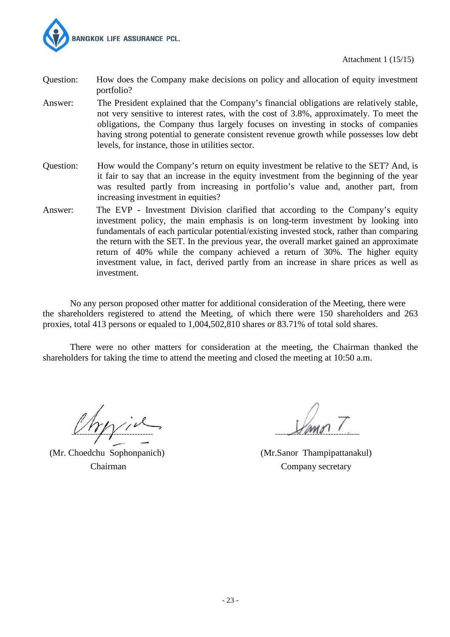

- Question: How does the Company make decisions on policy and allocation of equity investment portfolio?
- Answer: The President explained that the Company's financial obligations are relatively stable, not very sensitive to interest rates, with the cost of 3.8%, approximately. To meet the obligations, the Company thus largely focuses on investing in stocks of companies having strong potential to generate consistent revenue growth while possesses low debt levels, for instance, those in utilities sector.
- Question: How would the Company's return on equity investment be relative to the SET? And, is it fair to say that an increase in the equity investment from the beginning of the year was resulted partly from increasing in portfolio's value and, another part, from increasing investment in equities?
- Answer: The EVP Investment Division clarified that according to the Company's equity investment policy, the main emphasis is on long-term investment by looking into fundamentals of each particular potential/existing invested stock, rather than comparing the return with the SET. In the previous year, the overall market gained an approximate return of 40% while the company achieved a return of 30%. The higher equity investment value, in fact, derived partly from an increase in share prices as well as investment.

No any person proposed other matter for additional consideration of the Meeting, there were the shareholders registered to attend the Meeting, of which there were 150 shareholders and 263 proxies, total 413 persons or equaled to 1,004,502,810 shares or 83.71% of total sold shares.

 There were no other matters for consideration at the meeting, the Chairman thanked the shareholders for taking the time to attend the meeting and closed the meeting at 10:50 a.m.

 $V^{\prime\prime}\gamma^{\prime\prime}$ 

(Mr. Choedchu Sophonpanich) (Mr.Sanor Thampipattanakul)

Chairman Company secretary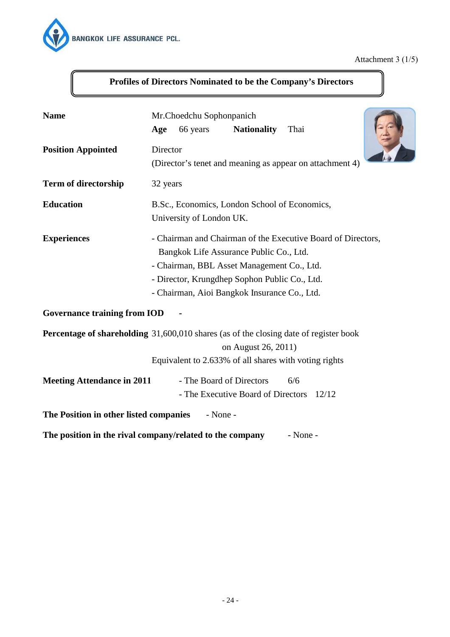

# Attachment 3 (1/5)

| <b>Name</b>                                        | Mr.Choedchu Sophonpanich<br><b>Nationality</b><br>Thai<br>66 years<br>Age                                                                                                                                                                              |  |  |
|----------------------------------------------------|--------------------------------------------------------------------------------------------------------------------------------------------------------------------------------------------------------------------------------------------------------|--|--|
| <b>Position Appointed</b>                          | Director<br>(Director's tenet and meaning as appear on attachment 4)                                                                                                                                                                                   |  |  |
| <b>Term of directorship</b>                        | 32 years                                                                                                                                                                                                                                               |  |  |
| <b>Education</b>                                   | B.Sc., Economics, London School of Economics,<br>University of London UK.                                                                                                                                                                              |  |  |
| <b>Experiences</b>                                 | - Chairman and Chairman of the Executive Board of Directors,<br>Bangkok Life Assurance Public Co., Ltd.<br>- Chairman, BBL Asset Management Co., Ltd.<br>- Director, Krungdhep Sophon Public Co., Ltd.<br>- Chairman, Aioi Bangkok Insurance Co., Ltd. |  |  |
| <b>Governance training from IOD</b>                |                                                                                                                                                                                                                                                        |  |  |
|                                                    | <b>Percentage of shareholding</b> 31,600,010 shares (as of the closing date of register book<br>on August 26, 2011)<br>Equivalent to 2.633% of all shares with voting rights                                                                           |  |  |
| <b>Meeting Attendance in 2011</b>                  | - The Board of Directors<br>6/6<br>- The Executive Board of Directors<br>12/12                                                                                                                                                                         |  |  |
| The Position in other listed companies<br>- None - |                                                                                                                                                                                                                                                        |  |  |
|                                                    | The position in the rival company/related to the company<br>- None -                                                                                                                                                                                   |  |  |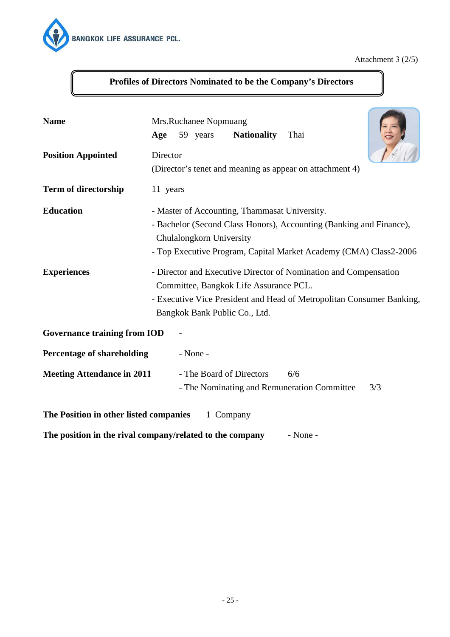

Attachment 3 (2/5)

# **Profiles of Directors Nominated to be the Company's Directors**

| <b>Name</b>                            | Mrs.Ruchanee Nopmuang<br>59 years<br><b>Nationality</b><br>Age<br>Thai                                                                                                                                                                                                                                                                                                                                                                        |  |  |
|----------------------------------------|-----------------------------------------------------------------------------------------------------------------------------------------------------------------------------------------------------------------------------------------------------------------------------------------------------------------------------------------------------------------------------------------------------------------------------------------------|--|--|
| <b>Position Appointed</b>              | Director<br>(Director's tenet and meaning as appear on attachment 4)                                                                                                                                                                                                                                                                                                                                                                          |  |  |
| <b>Term of directorship</b>            | 11 years                                                                                                                                                                                                                                                                                                                                                                                                                                      |  |  |
| <b>Education</b><br><b>Experiences</b> | - Master of Accounting, Thammasat University.<br>- Bachelor (Second Class Honors), Accounting (Banking and Finance),<br>Chulalongkorn University<br>- Top Executive Program, Capital Market Academy (CMA) Class2-2006<br>- Director and Executive Director of Nomination and Compensation<br>Committee, Bangkok Life Assurance PCL.<br>- Executive Vice President and Head of Metropolitan Consumer Banking,<br>Bangkok Bank Public Co., Ltd. |  |  |
| <b>Governance training from IOD</b>    |                                                                                                                                                                                                                                                                                                                                                                                                                                               |  |  |
| <b>Percentage of shareholding</b>      | - None -                                                                                                                                                                                                                                                                                                                                                                                                                                      |  |  |
| <b>Meeting Attendance in 2011</b>      | - The Board of Directors<br>6/6<br>- The Nominating and Remuneration Committee<br>3/3                                                                                                                                                                                                                                                                                                                                                         |  |  |
| The Position in other listed companies | 1 Company                                                                                                                                                                                                                                                                                                                                                                                                                                     |  |  |

**The position in the rival company/related to the company** - None -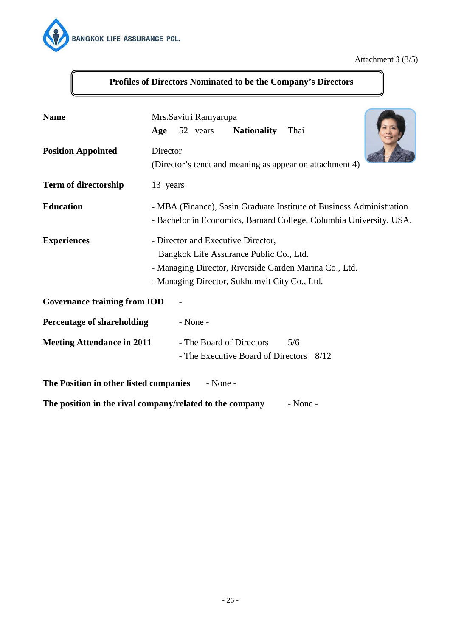

## Attachment 3 (3/5)

| <b>Name</b>                            | Mrs. Savitri Ramyarupa<br><b>Nationality</b><br>Thai<br>52 years<br>Age                                                                                                                  |
|----------------------------------------|------------------------------------------------------------------------------------------------------------------------------------------------------------------------------------------|
| <b>Position Appointed</b>              | Director<br>(Director's tenet and meaning as appear on attachment 4)                                                                                                                     |
| Term of directorship                   | 13 years                                                                                                                                                                                 |
| <b>Education</b>                       | - MBA (Finance), Sasin Graduate Institute of Business Administration<br>- Bachelor in Economics, Barnard College, Columbia University, USA.                                              |
| <b>Experiences</b>                     | - Director and Executive Director,<br>Bangkok Life Assurance Public Co., Ltd.<br>- Managing Director, Riverside Garden Marina Co., Ltd.<br>- Managing Director, Sukhumvit City Co., Ltd. |
| <b>Governance training from IOD</b>    |                                                                                                                                                                                          |
| <b>Percentage of shareholding</b>      | - None -                                                                                                                                                                                 |
| <b>Meeting Attendance in 2011</b>      | - The Board of Directors<br>5/6<br>- The Executive Board of Directors 8/12                                                                                                               |
| The Position in other listed companies | $-$ None $-$                                                                                                                                                                             |
|                                        | The position in the rival company/related to the company<br>- None -                                                                                                                     |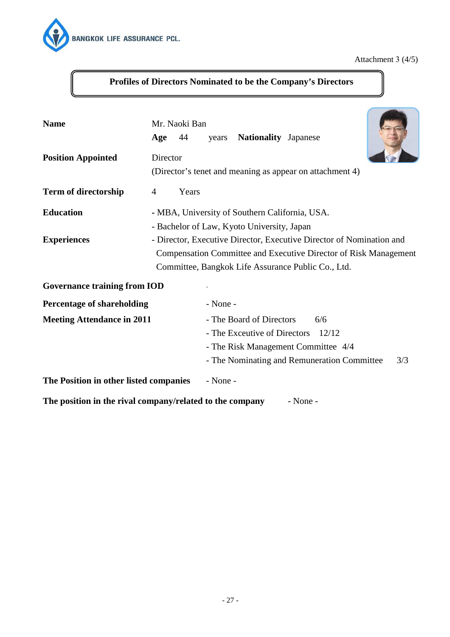

Attachment 3 (4/5)

| <b>Name</b>                                                                                                                                                                                         | Mr. Naoki Ban<br>44<br>Age | years    | <b>Nationality Japanese</b>                                                                  |                                                                                                                                                                                                |  |
|-----------------------------------------------------------------------------------------------------------------------------------------------------------------------------------------------------|----------------------------|----------|----------------------------------------------------------------------------------------------|------------------------------------------------------------------------------------------------------------------------------------------------------------------------------------------------|--|
| <b>Position Appointed</b>                                                                                                                                                                           | Director                   |          |                                                                                              | (Director's tenet and meaning as appear on attachment 4)                                                                                                                                       |  |
| <b>Term of directorship</b>                                                                                                                                                                         | Years<br>$\overline{4}$    |          |                                                                                              |                                                                                                                                                                                                |  |
| <b>Education</b><br><b>Experiences</b>                                                                                                                                                              |                            |          | - MBA, University of Southern California, USA.<br>- Bachelor of Law, Kyoto University, Japan | - Director, Executive Director, Executive Director of Nomination and<br>Compensation Committee and Executive Director of Risk Management<br>Committee, Bangkok Life Assurance Public Co., Ltd. |  |
| <b>Governance training from IOD</b>                                                                                                                                                                 |                            |          |                                                                                              |                                                                                                                                                                                                |  |
| <b>Percentage of shareholding</b>                                                                                                                                                                   |                            | - None - |                                                                                              |                                                                                                                                                                                                |  |
| <b>Meeting Attendance in 2011</b><br>- The Board of Directors<br>6/6<br>- The Exceutive of Directors<br>12/12<br>- The Risk Management Committee 4/4<br>- The Nominating and Remuneration Committee |                            |          | 3/3                                                                                          |                                                                                                                                                                                                |  |
| The Position in other listed companies                                                                                                                                                              |                            | - None - |                                                                                              |                                                                                                                                                                                                |  |
| The position in the rival company/related to the company                                                                                                                                            |                            |          |                                                                                              | - None -                                                                                                                                                                                       |  |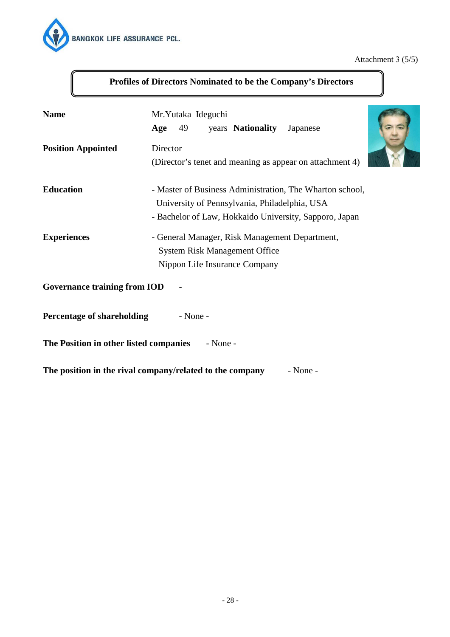

## Attachment 3 (5/5)

| <b>Name</b>                            | Mr.Yutaka Ideguchi<br>Age<br>49<br>years <b>Nationality</b><br>Japanese                                                                                             |  |
|----------------------------------------|---------------------------------------------------------------------------------------------------------------------------------------------------------------------|--|
| <b>Position Appointed</b>              | Director<br>(Director's tenet and meaning as appear on attachment 4)                                                                                                |  |
| <b>Education</b>                       | - Master of Business Administration, The Wharton school,<br>University of Pennsylvania, Philadelphia, USA<br>- Bachelor of Law, Hokkaido University, Sapporo, Japan |  |
| <b>Experiences</b>                     | - General Manager, Risk Management Department,<br><b>System Risk Management Office</b><br>Nippon Life Insurance Company                                             |  |
| <b>Governance training from IOD</b>    |                                                                                                                                                                     |  |
| <b>Percentage of shareholding</b>      | - None -                                                                                                                                                            |  |
| The Position in other listed companies | $-$ None $-$                                                                                                                                                        |  |
|                                        | The position in the rival company/related to the company<br>- None -                                                                                                |  |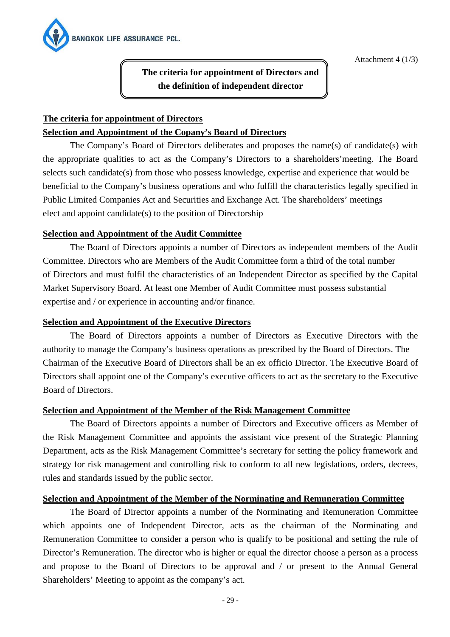

Attachment 4 (1/3)

**The criteria for appointment of Directors and the definition of independent director** 

# **The criteria for appointment of Directors Selection and Appointment of the Copany's Board of Directors**

 The Company's Board of Directors deliberates and proposes the name(s) of candidate(s) with the appropriate qualities to act as the Company's Directors to a shareholders'meeting. The Board selects such candidate(s) from those who possess knowledge, expertise and experience that would be beneficial to the Company's business operations and who fulfill the characteristics legally specified in Public Limited Companies Act and Securities and Exchange Act. The shareholders' meetings elect and appoint candidate(s) to the position of Directorship

## **Selection and Appointment of the Audit Committee**

 The Board of Directors appoints a number of Directors as independent members of the Audit Committee. Directors who are Members of the Audit Committee form a third of the total number of Directors and must fulfil the characteristics of an Independent Director as specified by the Capital Market Supervisory Board. At least one Member of Audit Committee must possess substantial expertise and / or experience in accounting and/or finance.

## **Selection and Appointment of the Executive Directors**

 The Board of Directors appoints a number of Directors as Executive Directors with the authority to manage the Company's business operations as prescribed by the Board of Directors. The Chairman of the Executive Board of Directors shall be an ex officio Director. The Executive Board of Directors shall appoint one of the Company's executive officers to act as the secretary to the Executive Board of Directors.

## **Selection and Appointment of the Member of the Risk Management Committee**

 The Board of Directors appoints a number of Directors and Executive officers as Member of the Risk Management Committee and appoints the assistant vice present of the Strategic Planning Department, acts as the Risk Management Committee's secretary for setting the policy framework and strategy for risk management and controlling risk to conform to all new legislations, orders, decrees, rules and standards issued by the public sector.

## **Selection and Appointment of the Member of the Norminating and Remuneration Committee**

 The Board of Director appoints a number of the Norminating and Remuneration Committee which appoints one of Independent Director, acts as the chairman of the Norminating and Remuneration Committee to consider a person who is qualify to be positional and setting the rule of Director's Remuneration. The director who is higher or equal the director choose a person as a process and propose to the Board of Directors to be approval and / or present to the Annual General Shareholders' Meeting to appoint as the company's act.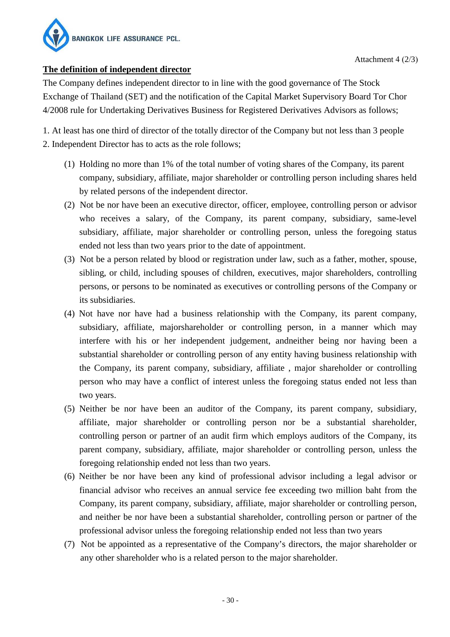

## **The definition of independent director**

The Company defines independent director to in line with the good governance of The Stock Exchange of Thailand (SET) and the notification of the Capital Market Supervisory Board Tor Chor 4/2008 rule for Undertaking Derivatives Business for Registered Derivatives Advisors as follows;

1. At least has one third of director of the totally director of the Company but not less than 3 people 2. Independent Director has to acts as the role follows;

- (1) Holding no more than 1% of the total number of voting shares of the Company, its parent company, subsidiary, affiliate, major shareholder or controlling person including shares held by related persons of the independent director.
- (2) Not be nor have been an executive director, officer, employee, controlling person or advisor who receives a salary, of the Company, its parent company, subsidiary, same-level subsidiary, affiliate, major shareholder or controlling person, unless the foregoing status ended not less than two years prior to the date of appointment.
- (3) Not be a person related by blood or registration under law, such as a father, mother, spouse, sibling, or child, including spouses of children, executives, major shareholders, controlling persons, or persons to be nominated as executives or controlling persons of the Company or its subsidiaries.
- (4) Not have nor have had a business relationship with the Company, its parent company, subsidiary, affiliate, majorshareholder or controlling person, in a manner which may interfere with his or her independent judgement, andneither being nor having been a substantial shareholder or controlling person of any entity having business relationship with the Company, its parent company, subsidiary, affiliate , major shareholder or controlling person who may have a conflict of interest unless the foregoing status ended not less than two years.
- (5) Neither be nor have been an auditor of the Company, its parent company, subsidiary, affiliate, major shareholder or controlling person nor be a substantial shareholder, controlling person or partner of an audit firm which employs auditors of the Company, its parent company, subsidiary, affiliate, major shareholder or controlling person, unless the foregoing relationship ended not less than two years.
- (6) Neither be nor have been any kind of professional advisor including a legal advisor or financial advisor who receives an annual service fee exceeding two million baht from the Company, its parent company, subsidiary, affiliate, major shareholder or controlling person, and neither be nor have been a substantial shareholder, controlling person or partner of the professional advisor unless the foregoing relationship ended not less than two years
- (7) Not be appointed as a representative of the Company's directors, the major shareholder or any other shareholder who is a related person to the major shareholder.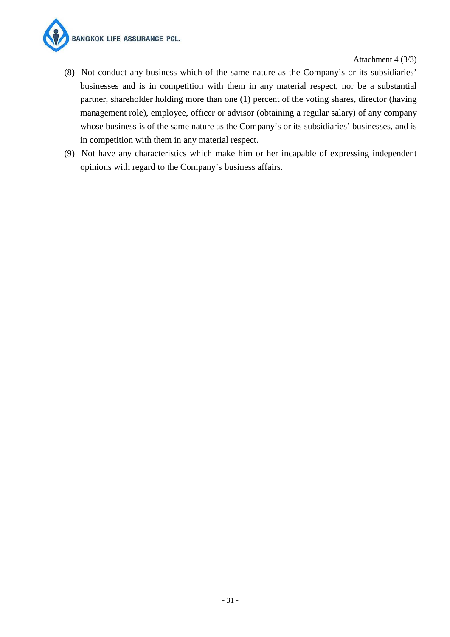

Attachment 4 (3/3)

- (8) Not conduct any business which of the same nature as the Company's or its subsidiaries' businesses and is in competition with them in any material respect, nor be a substantial partner, shareholder holding more than one (1) percent of the voting shares, director (having management role), employee, officer or advisor (obtaining a regular salary) of any company whose business is of the same nature as the Company's or its subsidiaries' businesses, and is in competition with them in any material respect.
- (9) Not have any characteristics which make him or her incapable of expressing independent opinions with regard to the Company's business affairs.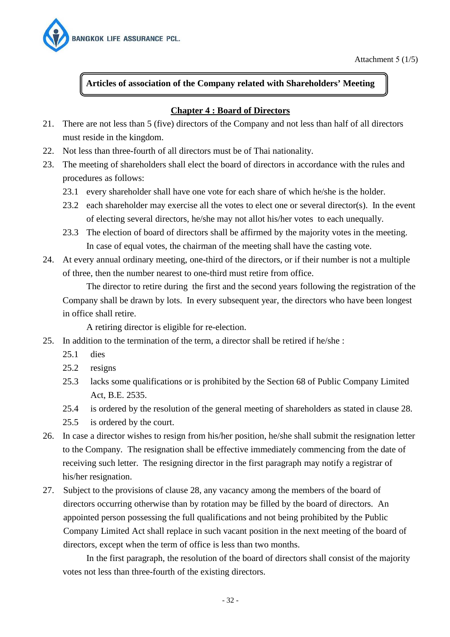

## **Articles of association of the Company related with Shareholders' Meeting**

## **Chapter 4 : Board of Directors**

- 21. There are not less than 5 (five) directors of the Company and not less than half of all directors must reside in the kingdom.
- 22. Not less than three-fourth of all directors must be of Thai nationality.
- 23. The meeting of shareholders shall elect the board of directors in accordance with the rules and procedures as follows:
	- 23.1 every shareholder shall have one vote for each share of which he/she is the holder.
	- 23.2 each shareholder may exercise all the votes to elect one or several director(s). In the event of electing several directors, he/she may not allot his/her votes to each unequally.
	- 23.3 The election of board of directors shall be affirmed by the majority votes in the meeting. In case of equal votes, the chairman of the meeting shall have the casting vote.
- 24. At every annual ordinary meeting, one-third of the directors, or if their number is not a multiple of three, then the number nearest to one-third must retire from office.

 The director to retire during the first and the second years following the registration of the Company shall be drawn by lots. In every subsequent year, the directors who have been longest in office shall retire.

A retiring director is eligible for re-election.

- 25. In addition to the termination of the term, a director shall be retired if he/she :
	- 25.1 dies
	- 25.2 resigns
	- 25.3 lacks some qualifications or is prohibited by the Section 68 of Public Company Limited Act, B.E. 2535.
	- 25.4 is ordered by the resolution of the general meeting of shareholders as stated in clause 28.
	- 25.5 is ordered by the court.
- 26. In case a director wishes to resign from his/her position, he/she shall submit the resignation letter to the Company. The resignation shall be effective immediately commencing from the date of receiving such letter. The resigning director in the first paragraph may notify a registrar of his/her resignation.
- 27. Subject to the provisions of clause 28, any vacancy among the members of the board of directors occurring otherwise than by rotation may be filled by the board of directors. An appointed person possessing the full qualifications and not being prohibited by the Public Company Limited Act shall replace in such vacant position in the next meeting of the board of directors, except when the term of office is less than two months.

 In the first paragraph, the resolution of the board of directors shall consist of the majority votes not less than three-fourth of the existing directors.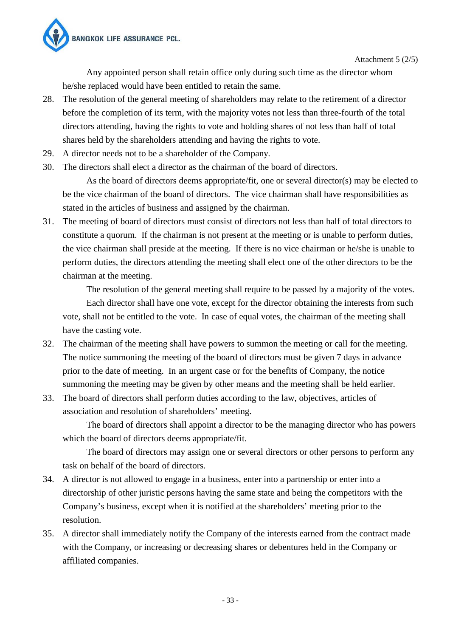

Attachment 5 (2/5)

 Any appointed person shall retain office only during such time as the director whom he/she replaced would have been entitled to retain the same.

- 28. The resolution of the general meeting of shareholders may relate to the retirement of a director before the completion of its term, with the majority votes not less than three-fourth of the total directors attending, having the rights to vote and holding shares of not less than half of total shares held by the shareholders attending and having the rights to vote.
- 29. A director needs not to be a shareholder of the Company.
- 30. The directors shall elect a director as the chairman of the board of directors.

 As the board of directors deems appropriate/fit, one or several director(s) may be elected to be the vice chairman of the board of directors. The vice chairman shall have responsibilities as stated in the articles of business and assigned by the chairman.

31. The meeting of board of directors must consist of directors not less than half of total directors to constitute a quorum. If the chairman is not present at the meeting or is unable to perform duties, the vice chairman shall preside at the meeting. If there is no vice chairman or he/she is unable to perform duties, the directors attending the meeting shall elect one of the other directors to be the chairman at the meeting.

 The resolution of the general meeting shall require to be passed by a majority of the votes. Each director shall have one vote, except for the director obtaining the interests from such vote, shall not be entitled to the vote. In case of equal votes, the chairman of the meeting shall have the casting vote.

- 32. The chairman of the meeting shall have powers to summon the meeting or call for the meeting. The notice summoning the meeting of the board of directors must be given 7 days in advance prior to the date of meeting. In an urgent case or for the benefits of Company, the notice summoning the meeting may be given by other means and the meeting shall be held earlier.
- 33. The board of directors shall perform duties according to the law, objectives, articles of association and resolution of shareholders' meeting.

 The board of directors shall appoint a director to be the managing director who has powers which the board of directors deems appropriate/fit.

 The board of directors may assign one or several directors or other persons to perform any task on behalf of the board of directors.

- 34. A director is not allowed to engage in a business, enter into a partnership or enter into a directorship of other juristic persons having the same state and being the competitors with the Company's business, except when it is notified at the shareholders' meeting prior to the resolution.
- 35. A director shall immediately notify the Company of the interests earned from the contract made with the Company, or increasing or decreasing shares or debentures held in the Company or affiliated companies.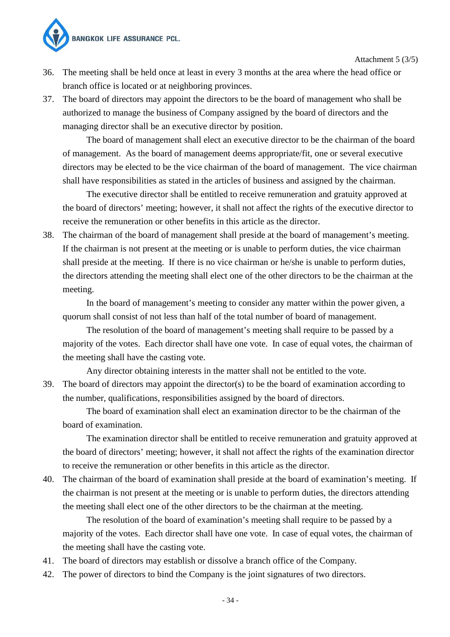

Attachment 5 (3/5)

- 36. The meeting shall be held once at least in every 3 months at the area where the head office or branch office is located or at neighboring provinces.
- 37. The board of directors may appoint the directors to be the board of management who shall be authorized to manage the business of Company assigned by the board of directors and the managing director shall be an executive director by position.

 The board of management shall elect an executive director to be the chairman of the board of management. As the board of management deems appropriate/fit, one or several executive directors may be elected to be the vice chairman of the board of management. The vice chairman shall have responsibilities as stated in the articles of business and assigned by the chairman.

 The executive director shall be entitled to receive remuneration and gratuity approved at the board of directors' meeting; however, it shall not affect the rights of the executive director to receive the remuneration or other benefits in this article as the director.

38. The chairman of the board of management shall preside at the board of management's meeting. If the chairman is not present at the meeting or is unable to perform duties, the vice chairman shall preside at the meeting. If there is no vice chairman or he/she is unable to perform duties, the directors attending the meeting shall elect one of the other directors to be the chairman at the meeting.

 In the board of management's meeting to consider any matter within the power given, a quorum shall consist of not less than half of the total number of board of management.

 The resolution of the board of management's meeting shall require to be passed by a majority of the votes. Each director shall have one vote. In case of equal votes, the chairman of the meeting shall have the casting vote.

Any director obtaining interests in the matter shall not be entitled to the vote.

39. The board of directors may appoint the director(s) to be the board of examination according to the number, qualifications, responsibilities assigned by the board of directors.

 The board of examination shall elect an examination director to be the chairman of the board of examination.

 The examination director shall be entitled to receive remuneration and gratuity approved at the board of directors' meeting; however, it shall not affect the rights of the examination director to receive the remuneration or other benefits in this article as the director.

40. The chairman of the board of examination shall preside at the board of examination's meeting. If the chairman is not present at the meeting or is unable to perform duties, the directors attending the meeting shall elect one of the other directors to be the chairman at the meeting.

 The resolution of the board of examination's meeting shall require to be passed by a majority of the votes. Each director shall have one vote. In case of equal votes, the chairman of the meeting shall have the casting vote.

- 41. The board of directors may establish or dissolve a branch office of the Company.
- 42. The power of directors to bind the Company is the joint signatures of two directors.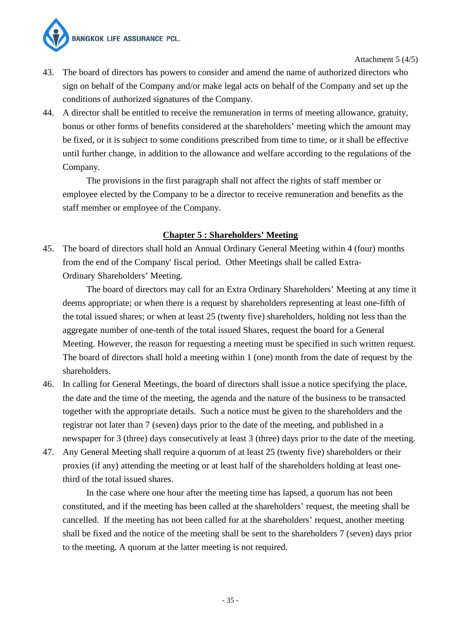**BANGKOK LIFE ASSURANCE PCL.** 



Attachment 5 (4/5)

- 43. The board of directors has powers to consider and amend the name of authorized directors who sign on behalf of the Company and/or make legal acts on behalf of the Company and set up the conditions of authorized signatures of the Company.
- 44. A director shall be entitled to receive the remuneration in terms of meeting allowance, gratuity, bonus or other forms of benefits considered at the shareholders' meeting which the amount may be fixed, or it is subject to some conditions prescribed from time to time, or it shall be effective until further change, in addition to the allowance and welfare according to the regulations of the Company.

 The provisions in the first paragraph shall not affect the rights of staff member or employee elected by the Company to be a director to receive remuneration and benefits as the staff member or employee of the Company.

## **Chapter 5 : Shareholders' Meeting**

45. The board of directors shall hold an Annual Ordinary General Meeting within 4 (four) months from the end of the Company' fiscal period. Other Meetings shall be called Extra- Ordinary Shareholders' Meeting.

 The board of directors may call for an Extra Ordinary Shareholders' Meeting at any time it deems appropriate; or when there is a request by shareholders representing at least one-fifth of the total issued shares; or when at least 25 (twenty five) shareholders, holding not less than the aggregate number of one-tenth of the total issued Shares, request the board for a General Meeting. However, the reason for requesting a meeting must be specified in such written request. The board of directors shall hold a meeting within 1 (one) month from the date of request by the shareholders.

- 46. In calling for General Meetings, the board of directors shall issue a notice specifying the place, the date and the time of the meeting, the agenda and the nature of the business to be transacted together with the appropriate details. Such a notice must be given to the shareholders and the registrar not later than 7 (seven) days prior to the date of the meeting, and published in a newspaper for 3 (three) days consecutively at least 3 (three) days prior to the date of the meeting.
- 47. Any General Meeting shall require a quorum of at least 25 (twenty five) shareholders or their proxies (if any) attending the meeting or at least half of the shareholders holding at least one third of the total issued shares.

 In the case where one hour after the meeting time has lapsed, a quorum has not been constituted, and if the meeting has been called at the shareholders' request, the meeting shall be cancelled. If the meeting has not been called for at the shareholders' request, another meeting shall be fixed and the notice of the meeting shall be sent to the shareholders 7 (seven) days prior to the meeting. A quorum at the latter meeting is not required.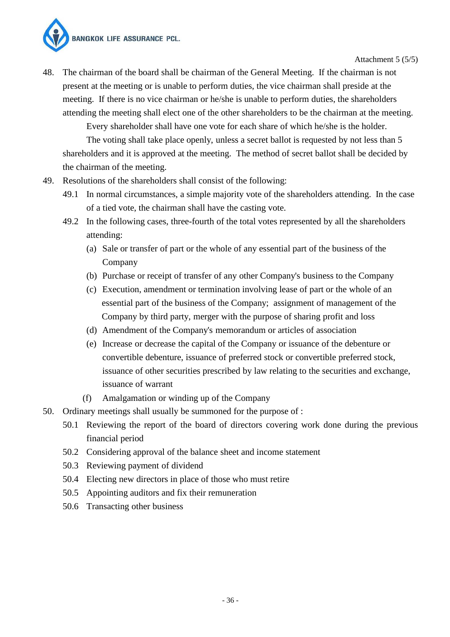

Attachment 5 (5/5)

48. The chairman of the board shall be chairman of the General Meeting. If the chairman is not present at the meeting or is unable to perform duties, the vice chairman shall preside at the meeting. If there is no vice chairman or he/she is unable to perform duties, the shareholders attending the meeting shall elect one of the other shareholders to be the chairman at the meeting.

Every shareholder shall have one vote for each share of which he/she is the holder.

 The voting shall take place openly, unless a secret ballot is requested by not less than 5 shareholders and it is approved at the meeting. The method of secret ballot shall be decided by the chairman of the meeting.

- 49. Resolutions of the shareholders shall consist of the following:
	- 49.1 In normal circumstances, a simple majority vote of the shareholders attending. In the case of a tied vote, the chairman shall have the casting vote.
	- 49.2 In the following cases, three-fourth of the total votes represented by all the shareholders attending:
		- (a) Sale or transfer of part or the whole of any essential part of the business of the Company
		- (b) Purchase or receipt of transfer of any other Company's business to the Company
		- (c) Execution, amendment or termination involving lease of part or the whole of an essential part of the business of the Company; assignment of management of the Company by third party, merger with the purpose of sharing profit and loss
		- (d) Amendment of the Company's memorandum or articles of association
		- (e) Increase or decrease the capital of the Company or issuance of the debenture or convertible debenture, issuance of preferred stock or convertible preferred stock, issuance of other securities prescribed by law relating to the securities and exchange, issuance of warrant
		- (f) Amalgamation or winding up of the Company
- 50. Ordinary meetings shall usually be summoned for the purpose of :
	- 50.1 Reviewing the report of the board of directors covering work done during the previous financial period
	- 50.2 Considering approval of the balance sheet and income statement
	- 50.3 Reviewing payment of dividend
	- 50.4 Electing new directors in place of those who must retire
	- 50.5 Appointing auditors and fix their remuneration
	- 50.6 Transacting other business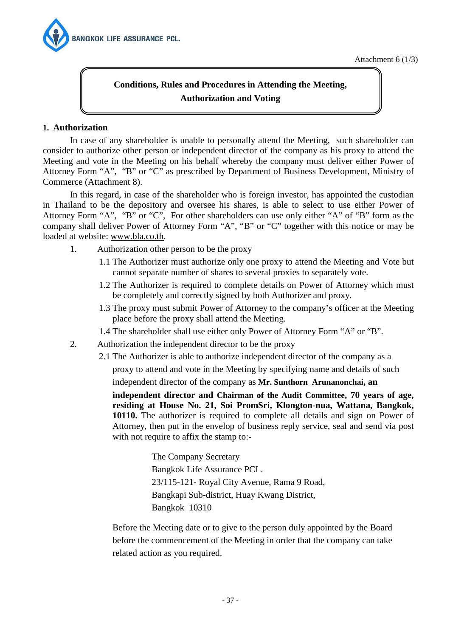

Attachment 6 (1/3)

# **Conditions, Rules and Procedures in Attending the Meeting, Authorization and Voting**

#### **1. Authorization**

 In case of any shareholder is unable to personally attend the Meeting, such shareholder can consider to authorize other person or independent director of the company as his proxy to attend the Meeting and vote in the Meeting on his behalf whereby the company must deliver either Power of Attorney Form "A", "B" or "C" as prescribed by Department of Business Development, Ministry of Commerce (Attachment 8).

In this regard, in case of the shareholder who is foreign investor, has appointed the custodian in Thailand to be the depository and oversee his shares, is able to select to use either Power of Attorney Form "A", "B" or "C", For other shareholders can use only either "A" of "B" form as the company shall deliver Power of Attorney Form "A", "B" or "C" together with this notice or may be loaded at website: www.bla.co.th.

- 1. Authorization other person to be the proxy
	- 1.1 The Authorizer must authorize only one proxy to attend the Meeting and Vote but cannot separate number of shares to several proxies to separately vote.
	- 1.2 The Authorizer is required to complete details on Power of Attorney which must be completely and correctly signed by both Authorizer and proxy.
	- 1.3 The proxy must submit Power of Attorney to the company's officer at the Meeting place before the proxy shall attend the Meeting.
	- 1.4 The shareholder shall use either only Power of Attorney Form "A" or "B".
- 2. Authorization the independent director to be the proxy
	- 2.1 The Authorizer is able to authorize independent director of the company as a proxy to attend and vote in the Meeting by specifying name and details of such independent director of the company as **Mr. Sunthorn Arunanonchai, an**

**independent director and Chairman of the Audit Committee, 70 years of age, residing at House No. 21, Soi PromSri, Klongton-nua, Wattana, Bangkok, 10110.** The authorizer is required to complete all details and sign on Power of Attorney, then put in the envelop of business reply service, seal and send via post with not require to affix the stamp to:-

> The Company Secretary Bangkok Life Assurance PCL. 23/115-121- Royal City Avenue, Rama 9 Road, Bangkapi Sub-district, Huay Kwang District, Bangkok 10310

Before the Meeting date or to give to the person duly appointed by the Board before the commencement of the Meeting in order that the company can take related action as you required.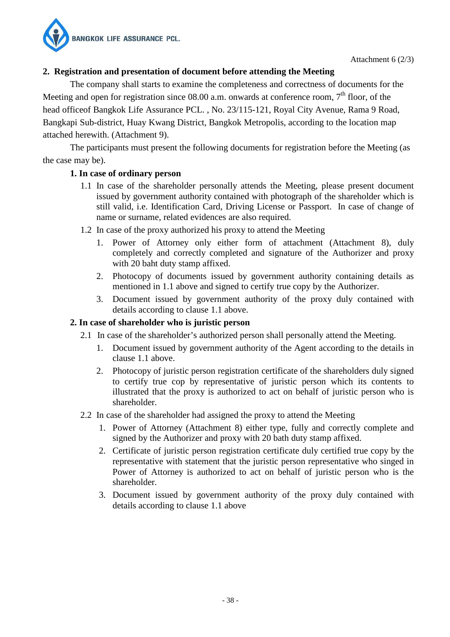

## **2. Registration and presentation of document before attending the Meeting**

The company shall starts to examine the completeness and correctness of documents for the Meeting and open for registration since  $08.00$  a.m. onwards at conference room,  $7<sup>th</sup>$  floor, of the head officeof Bangkok Life Assurance PCL. , No. 23/115-121, Royal City Avenue, Rama 9 Road, Bangkapi Sub-district, Huay Kwang District, Bangkok Metropolis, according to the location map attached herewith. (Attachment 9).

The participants must present the following documents for registration before the Meeting (as the case may be).

#### **1. In case of ordinary person**

- 1.1 In case of the shareholder personally attends the Meeting, please present document issued by government authority contained with photograph of the shareholder which is still valid, i.e. Identification Card, Driving License or Passport. In case of change of name or surname, related evidences are also required.
- 1.2 In case of the proxy authorized his proxy to attend the Meeting
	- 1. Power of Attorney only either form of attachment (Attachment 8), duly completely and correctly completed and signature of the Authorizer and proxy with 20 baht duty stamp affixed.
	- 2. Photocopy of documents issued by government authority containing details as mentioned in 1.1 above and signed to certify true copy by the Authorizer.
	- 3. Document issued by government authority of the proxy duly contained with details according to clause 1.1 above.

#### **2. In case of shareholder who is juristic person**

- 2.1 In case of the shareholder's authorized person shall personally attend the Meeting.
	- 1. Document issued by government authority of the Agent according to the details in clause 1.1 above.
	- 2. Photocopy of juristic person registration certificate of the shareholders duly signed to certify true cop by representative of juristic person which its contents to illustrated that the proxy is authorized to act on behalf of juristic person who is shareholder.
- 2.2 In case of the shareholder had assigned the proxy to attend the Meeting
	- 1. Power of Attorney (Attachment 8) either type, fully and correctly complete and signed by the Authorizer and proxy with 20 bath duty stamp affixed.
	- 2. Certificate of juristic person registration certificate duly certified true copy by the representative with statement that the juristic person representative who singed in Power of Attorney is authorized to act on behalf of juristic person who is the shareholder.
	- 3. Document issued by government authority of the proxy duly contained with details according to clause 1.1 above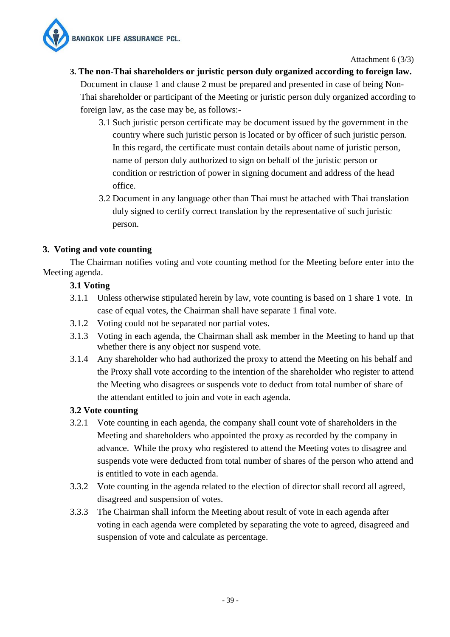

Attachment 6 (3/3)

# **3. The non-Thai shareholders or juristic person duly organized according to foreign law.**

Document in clause 1 and clause 2 must be prepared and presented in case of being Non-Thai shareholder or participant of the Meeting or juristic person duly organized according to foreign law, as the case may be, as follows:-

- 3.1 Such juristic person certificate may be document issued by the government in the country where such juristic person is located or by officer of such juristic person. In this regard, the certificate must contain details about name of juristic person, name of person duly authorized to sign on behalf of the juristic person or condition or restriction of power in signing document and address of the head office.
- 3.2 Document in any language other than Thai must be attached with Thai translation duly signed to certify correct translation by the representative of such juristic person.

## **3. Voting and vote counting**

 The Chairman notifies voting and vote counting method for the Meeting before enter into the Meeting agenda.

## **3.1 Voting**

- 3.1.1 Unless otherwise stipulated herein by law, vote counting is based on 1 share 1 vote. In case of equal votes, the Chairman shall have separate 1 final vote.
- 3.1.2 Voting could not be separated nor partial votes.
- 3.1.3 Voting in each agenda, the Chairman shall ask member in the Meeting to hand up that whether there is any object nor suspend vote.
- 3.1.4 Any shareholder who had authorized the proxy to attend the Meeting on his behalf and the Proxy shall vote according to the intention of the shareholder who register to attend the Meeting who disagrees or suspends vote to deduct from total number of share of the attendant entitled to join and vote in each agenda.

## **3.2 Vote counting**

- 3.2.1 Vote counting in each agenda, the company shall count vote of shareholders in the Meeting and shareholders who appointed the proxy as recorded by the company in advance. While the proxy who registered to attend the Meeting votes to disagree and suspends vote were deducted from total number of shares of the person who attend and is entitled to vote in each agenda.
- 3.3.2 Vote counting in the agenda related to the election of director shall record all agreed, disagreed and suspension of votes.
- 3.3.3 The Chairman shall inform the Meeting about result of vote in each agenda after voting in each agenda were completed by separating the vote to agreed, disagreed and suspension of vote and calculate as percentage.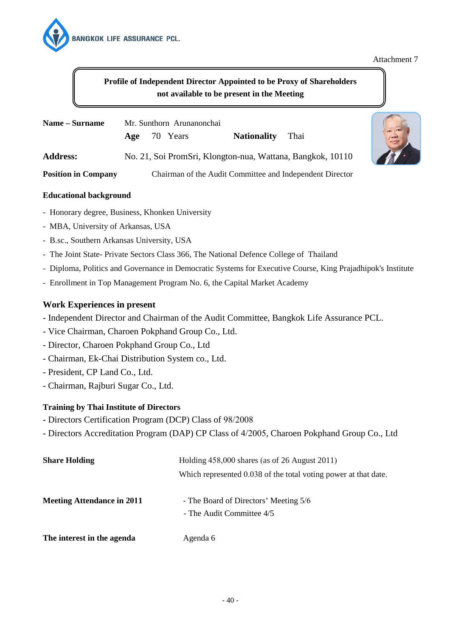

#### Attachment 7

## **Profile of Independent Director Appointed to be Proxy of Shareholders not available to be present in the Meeting**

| Name – Surname             |  | Mr. Sunthorn Arunanonchai<br>Age 70 Years | <b>Nationality</b> | Thai                                                       |
|----------------------------|--|-------------------------------------------|--------------------|------------------------------------------------------------|
| <b>Address:</b>            |  |                                           |                    | No. 21, Soi PromSri, Klongton-nua, Wattana, Bangkok, 10110 |
| <b>Position in Company</b> |  |                                           |                    | Chairman of the Audit Committee and Independent Director   |



#### **Educational background**

- Honorary degree, Business, Khonken University
- MBA, University of Arkansas, USA
- B.sc., Southern Arkansas University, USA
- The Joint State- Private Sectors Class 366, The National Defence College of Thailand
- Diploma, Politics and Governance in Democratic Systems for Executive Course, King Prajadhipok's Institute
- Enrollment in Top Management Program No. 6, the Capital Market Academy

#### **Work Experiences in present**

- Independent Director and Chairman of the Audit Committee, Bangkok Life Assurance PCL.
- Vice Chairman, Charoen Pokphand Group Co., Ltd.
- Director, Charoen Pokphand Group Co., Ltd
- Chairman, Ek-Chai Distribution System co., Ltd.
- President, CP Land Co., Ltd.
- Chairman, Rajburi Sugar Co., Ltd.

#### **Training by Thai Institute of Directors**

- Directors Certification Program (DCP) Class of 98/2008
- Directors Accreditation Program (DAP) CP Class of 4/2005, Charoen Pokphand Group Co., Ltd

| <b>Share Holding</b>              | Holding $458,000$ shares (as of 26 August 2011)                    |  |
|-----------------------------------|--------------------------------------------------------------------|--|
|                                   | Which represented 0.038 of the total voting power at that date.    |  |
| <b>Meeting Attendance in 2011</b> | - The Board of Directors' Meeting 5/6<br>- The Audit Committee 4/5 |  |
| The interest in the agenda        | Agenda 6                                                           |  |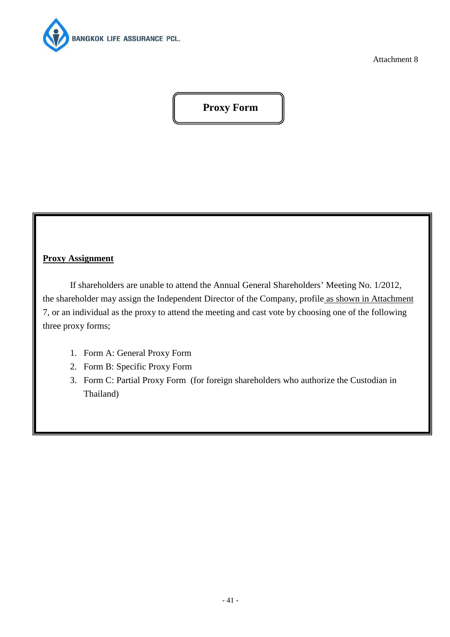

Attachment 8

# **Proxy Form**

#### **Proxy Assignment**

 If shareholders are unable to attend the Annual General Shareholders' Meeting No. 1/2012, the shareholder may assign the Independent Director of the Company, profile as shown in Attachment 7, or an individual as the proxy to attend the meeting and cast vote by choosing one of the following three proxy forms;

- 1. Form A: General Proxy Form
- 2. Form B: Specific Proxy Form
- 3. Form C: Partial Proxy Form (for foreign shareholders who authorize the Custodian in Thailand)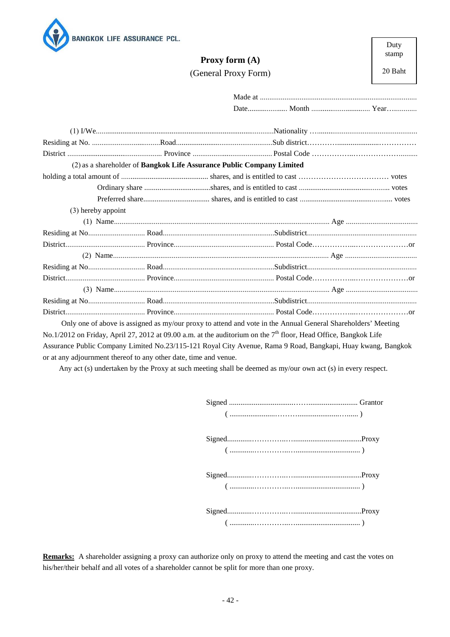

## **Proxy form (A)** (General Proxy Form)

20 Baht

|                    | (2) as a shareholder of Bangkok Life Assurance Public Company Limited                                             |  |
|--------------------|-------------------------------------------------------------------------------------------------------------------|--|
|                    |                                                                                                                   |  |
|                    |                                                                                                                   |  |
|                    |                                                                                                                   |  |
| (3) hereby appoint |                                                                                                                   |  |
|                    |                                                                                                                   |  |
|                    |                                                                                                                   |  |
|                    |                                                                                                                   |  |
|                    |                                                                                                                   |  |
|                    |                                                                                                                   |  |
|                    |                                                                                                                   |  |
|                    |                                                                                                                   |  |
|                    |                                                                                                                   |  |
|                    |                                                                                                                   |  |
|                    | Only one of above is assigned as my/our proxy to attend and vote in the Annual General Shareholders' Meeting      |  |
|                    | No.1/2012 on Friday, April 27, 2012 at 09.00 a.m. at the auditorium on the $7th$ floor, Head Office, Bangkok Life |  |

Assurance Public Company Limited No.23/115-121 Royal City Avenue, Rama 9 Road, Bangkapi, Huay kwang, Bangkok or at any adjournment thereof to any other date, time and venue.

Any act (s) undertaken by the Proxy at such meeting shall be deemed as my/our own act (s) in every respect.

**Remarks:** A shareholder assigning a proxy can authorize only on proxy to attend the meeting and cast the votes on his/her/their behalf and all votes of a shareholder cannot be split for more than one proxy.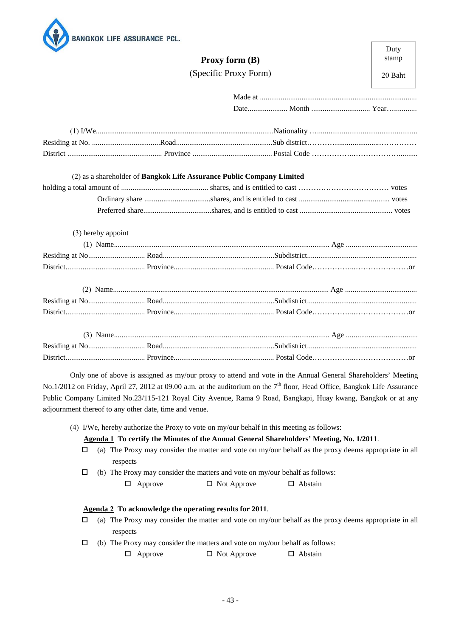

|                    |                       | Proxy form (B) | stamp   |
|--------------------|-----------------------|----------------|---------|
|                    | (Specific Proxy Form) |                | 20 Baht |
|                    |                       |                |         |
|                    |                       |                |         |
|                    |                       |                |         |
|                    |                       |                |         |
|                    |                       |                |         |
| (3) hereby appoint |                       |                |         |
|                    |                       |                |         |
|                    |                       |                |         |
|                    |                       |                |         |
|                    |                       |                |         |
|                    |                       |                |         |
|                    |                       |                |         |
|                    |                       |                |         |
|                    |                       |                |         |
|                    |                       |                |         |

Duty

Only one of above is assigned as my/our proxy to attend and vote in the Annual General Shareholders' Meeting No.1/2012 on Friday, April 27, 2012 at 09.00 a.m. at the auditorium on the 7<sup>th</sup> floor, Head Office, Bangkok Life Assurance Public Company Limited No.23/115-121 Royal City Avenue, Rama 9 Road, Bangkapi, Huay kwang, Bangkok or at any adjournment thereof to any other date, time and venue.

(4) I/We, hereby authorize the Proxy to vote on my/our behalf in this meeting as follows:

**Agenda 1 To certify the Minutes of the Annual General Shareholders' Meeting, No. 1/2011**.

- $\Box$  (a) The Proxy may consider the matter and vote on my/our behalf as the proxy deems appropriate in all respects
- $\Box$  (b) The Proxy may consider the matters and vote on my/our behalf as follows:

 $\Box$  Approve  $\Box$  Not Approve  $\Box$  Abstain

#### **Agenda 2 To acknowledge the operating results for 2011**.

- $\Box$  (a) The Proxy may consider the matter and vote on my/our behalf as the proxy deems appropriate in all respects
- $\Box$  (b) The Proxy may consider the matters and vote on my/our behalf as follows:

 $\Box$  Approve  $\Box$  Not Approve  $\Box$  Abstain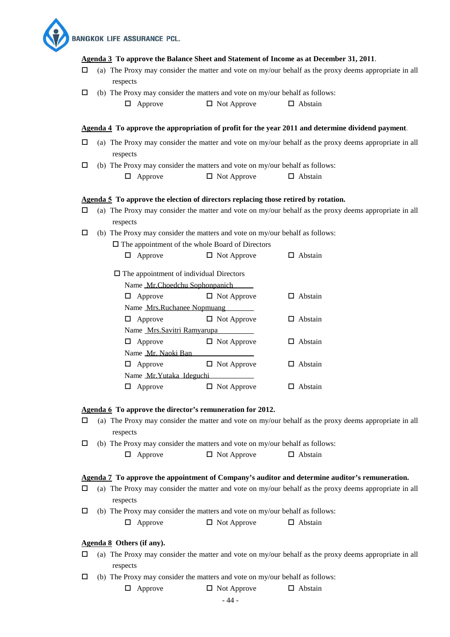**BANGKOK LIFE ASSURANCE PCL.** 

#### **Agenda 3 To approve the Balance Sheet and Statement of Income as at December 31, 2011**.

- $\Box$  (a) The Proxy may consider the matter and vote on my/our behalf as the proxy deems appropriate in all respects
- $\Box$  (b) The Proxy may consider the matters and vote on my/our behalf as follows:
	- $\Box$  Approve  $\Box$  Not Approve  $\Box$  Abstain

#### **Agenda <sup>4</sup> To approve the appropriation of profit for the year 2011 and determine dividend payment.**

- $\Box$  (a) The Proxy may consider the matter and vote on my/our behalf as the proxy deems appropriate in all respects
- $\Box$  (b) The Proxy may consider the matters and vote on my/our behalf as follows:

| $\Box$ Abstain<br>$\Box$ Not Approve<br>$\Box$ Approve |
|--------------------------------------------------------|
|--------------------------------------------------------|

#### **Agenda 5 To approve the election of directors replacing those retired by rotation.**

- $\Box$  (a) The Proxy may consider the matter and vote on my/our behalf as the proxy deems appropriate in all respects
- $\Box$  (b) The Proxy may consider the matters and vote on my/our behalf as follows:
	- $\square$  The appointment of the whole Board of Directors

| $\Box$ Approve | $\Box$ Not Approve | $\Box$ Abstain |
|----------------|--------------------|----------------|
|----------------|--------------------|----------------|

|   | $\Box$ The appointment of individual Directors |                    |         |
|---|------------------------------------------------|--------------------|---------|
|   | Name Mr.Choedchu Sophonpanich                  |                    |         |
| ப | Approve                                        | $\Box$ Not Approve | Abstain |
|   | Name Mrs.Ruchanee Nopmuang                     |                    |         |
| ப | Approve                                        | $\Box$ Not Approve | Abstain |
|   | Name Mrs. Savitri Ramyarupa                    |                    |         |
| ப | Approve                                        | $\Box$ Not Approve | Abstain |
|   | Name Mr. Naoki Ban                             |                    |         |
| ப | Approve                                        | $\Box$ Not Approve | Abstain |
|   | Name Mr. Yutaka Ideguchi                       |                    |         |
|   | Approve                                        | Not Approve        | Abstain |

#### **Agenda 6 To approve the director's remuneration for 2012.**

- $\Box$  (a) The Proxy may consider the matter and vote on my/our behalf as the proxy deems appropriate in all respects
- $\Box$  (b) The Proxy may consider the matters and vote on my/our behalf as follows:

|  | $\Box$ Approve | $\Box$ Not Approve | $\Box$ Abstain |
|--|----------------|--------------------|----------------|
|--|----------------|--------------------|----------------|

#### **Agenda 7 To approve the appointment of Company's auditor and determine auditor's remuneration.**

- $\Box$  (a) The Proxy may consider the matter and vote on my/our behalf as the proxy deems appropriate in all respects
- $\Box$  (b) The Proxy may consider the matters and vote on my/our behalf as follows:

 $\Box$  Approve  $\Box$  Not Approve  $\Box$  Abstain

#### **Agenda 8 Others (if any).**

- $\Box$  (a) The Proxy may consider the matter and vote on my/our behalf as the proxy deems appropriate in all respects
- $\Box$  (b) The Proxy may consider the matters and vote on my/our behalf as follows:

 $\Box$  Approve  $\Box$  Not Approve  $\Box$  Abstain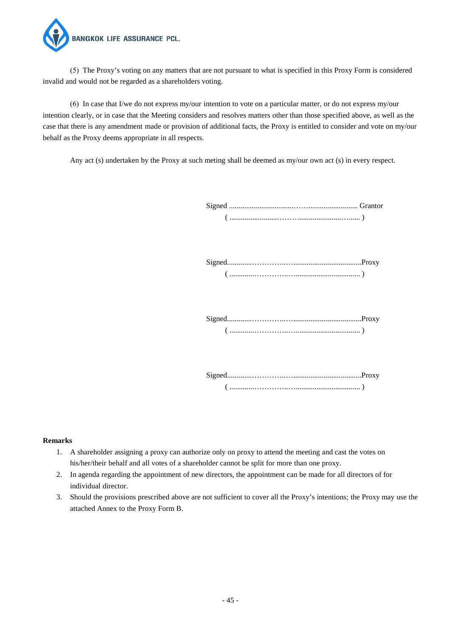

(5) The Proxy's voting on any matters that are not pursuant to what is specified in this Proxy Form is considered invalid and would not be regarded as a shareholders voting.

(6) In case that I/we do not express my/our intention to vote on a particular matter, or do not express my/our intention clearly, or in case that the Meeting considers and resolves matters other than those specified above, as well as the case that there is any amendment made or provision of additional facts, the Proxy is entitled to consider and vote on my/our behalf as the Proxy deems appropriate in all respects.

Any act (s) undertaken by the Proxy at such meting shall be deemed as my/our own act (s) in every respect.

 Signed.............…………..…....................................Proxy ( .............…………..….................................. )

 Signed.............…………..…....................................Proxy ( .............…………..….................................. )

 Signed.............…………..…....................................Proxy ( .............…………..….................................. )

#### **Remarks**

- 1. A shareholder assigning a proxy can authorize only on proxy to attend the meeting and cast the votes on his/her/their behalf and all votes of a shareholder cannot be split for more than one proxy.
- 2. In agenda regarding the appointment of new directors, the appointment can be made for all directors of for individual director.
- 3. Should the provisions prescribed above are not sufficient to cover all the Proxy's intentions; the Proxy may use the attached Annex to the Proxy Form B.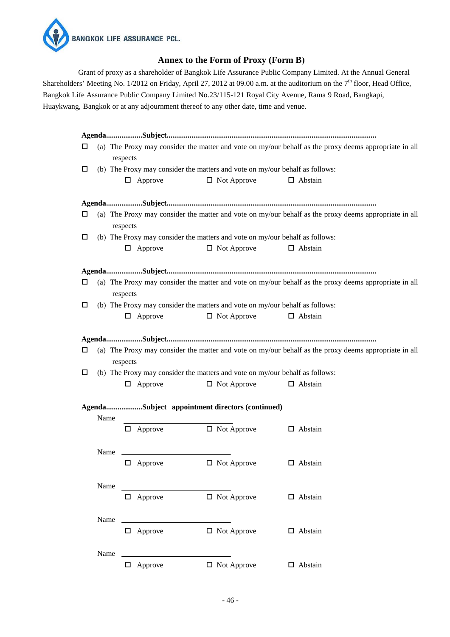

#### **Annex to the Form of Proxy (Form B)**

Grant of proxy as a shareholder of Bangkok Life Assurance Public Company Limited. At the Annual General Shareholders' Meeting No. 1/2012 on Friday, April 27, 2012 at 09.00 a.m. at the auditorium on the  $7<sup>th</sup>$  floor, Head Office, Bangkok Life Assurance Public Company Limited No.23/115-121 Royal City Avenue, Rama 9 Road, Bangkapi, Huaykwang, Bangkok or at any adjournment thereof to any other date, time and venue.

| □      | respects       |                                                                                                    | (a) The Proxy may consider the matter and vote on my/our behalf as the proxy deems appropriate in all |
|--------|----------------|----------------------------------------------------------------------------------------------------|-------------------------------------------------------------------------------------------------------|
| □      |                | (b) The Proxy may consider the matters and vote on my/our behalf as follows:                       |                                                                                                       |
|        | $\Box$ Approve | $\Box$ Not Approve                                                                                 | $\Box$ Abstain                                                                                        |
|        |                |                                                                                                    |                                                                                                       |
| □      | respects       |                                                                                                    | (a) The Proxy may consider the matter and vote on my/our behalf as the proxy deems appropriate in all |
| □      |                | (b) The Proxy may consider the matters and vote on my/our behalf as follows:                       |                                                                                                       |
|        | $\Box$ Approve | $\Box$ Not Approve                                                                                 | $\Box$ Abstain                                                                                        |
|        |                |                                                                                                    |                                                                                                       |
| □      | respects       |                                                                                                    | (a) The Proxy may consider the matter and vote on my/our behalf as the proxy deems appropriate in all |
| $\Box$ |                | (b) The Proxy may consider the matters and vote on my/our behalf as follows:                       |                                                                                                       |
|        | $\Box$ Approve | $\Box$ Not Approve                                                                                 | $\Box$ Abstain                                                                                        |
|        |                |                                                                                                    |                                                                                                       |
|        |                |                                                                                                    |                                                                                                       |
| □      |                |                                                                                                    | (a) The Proxy may consider the matter and vote on my/our behalf as the proxy deems appropriate in all |
|        | respects       |                                                                                                    |                                                                                                       |
| □      | $\Box$ Approve | (b) The Proxy may consider the matters and vote on my/our behalf as follows:<br>$\Box$ Not Approve | $\Box$ Abstain                                                                                        |
|        |                |                                                                                                    |                                                                                                       |
|        |                | AgendaSubject appointment directors (continued)                                                    |                                                                                                       |
| Name   |                |                                                                                                    |                                                                                                       |
|        | $\Box$ Approve | $\Box$ Not Approve                                                                                 | $\Box$ Abstain                                                                                        |
| Name   |                |                                                                                                    |                                                                                                       |
|        | $\Box$ Approve | $\Box$ Not Approve                                                                                 | $\Box$ Abstain                                                                                        |
| Name   |                |                                                                                                    |                                                                                                       |
|        | $\Box$ Approve | $\Box$ Not Approve                                                                                 | $\Box$ Abstain                                                                                        |
|        |                |                                                                                                    |                                                                                                       |
| Name   |                |                                                                                                    |                                                                                                       |
|        | $\Box$ Approve | $\Box$ Not Approve                                                                                 | $\Box$ Abstain                                                                                        |
| Name   |                |                                                                                                    |                                                                                                       |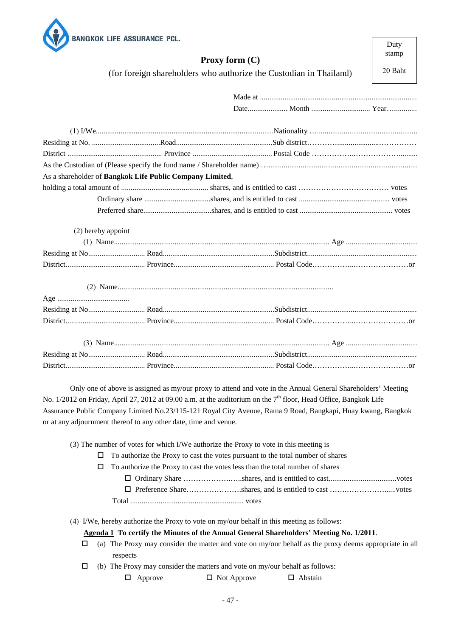

Only one of above is assigned as my/our proxy to attend and vote in the Annual General Shareholders' Meeting No. 1/2012 on Friday, April 27, 2012 at 09.00 a.m. at the auditorium on the 7<sup>th</sup> floor, Head Office, Bangkok Life Assurance Public Company Limited No.23/115-121 Royal City Avenue, Rama 9 Road, Bangkapi, Huay kwang, Bangkok or at any adjournment thereof to any other date, time and venue.

(3) The number of votes for which I/We authorize the Proxy to vote in this meeting is

 $\Box$  To authorize the Proxy to cast the votes pursuant to the total number of shares

- $\Box$  To authorize the Proxy to cast the votes less than the total number of shares
	- Ordinary Share ……………….…..shares, and is entitled to cast....................................votes Preference Share………………….shares, and is entitled to cast …….……………......votes

Total ............................................................ votes

(4) I/We, hereby authorize the Proxy to vote on my/our behalf in this meeting as follows:

**Agenda 1 To certify the Minutes of the Annual General Shareholders' Meeting No. 1/2011**.

 $\Box$  (a) The Proxy may consider the matter and vote on my/our behalf as the proxy deems appropriate in all respects

 $\Box$  (b) The Proxy may consider the matters and vote on my/our behalf as follows:

 $\Box$  Approve  $\Box$  Not Approve  $\Box$  Abstain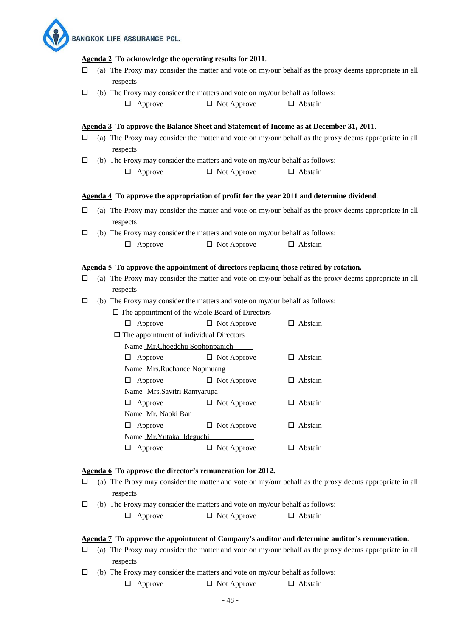**BANGKOK LIFE ASSURANCE PCL.** 

#### **Agenda 2 To acknowledge the operating results for 2011**.

- $\Box$  (a) The Proxy may consider the matter and vote on my/our behalf as the proxy deems appropriate in all respects
- $\Box$  (b) The Proxy may consider the matters and vote on my/our behalf as follows:
	- $\Box$  Approve  $\Box$  Not Approve  $\Box$  Abstain

#### **Agenda 3 To approve the Balance Sheet and Statement of Income as at December 31, 201**1.

- $\Box$  (a) The Proxy may consider the matter and vote on my/our behalf as the proxy deems appropriate in all respects
- $\Box$  (b) The Proxy may consider the matters and vote on my/our behalf as follows:  $\Box$  Approve  $\Box$  Not Approve  $\Box$  Abstain

#### **Agenda <sup>4</sup> To approve the appropriation of profit for the year 2011 and determine dividend.**

- $\Box$  (a) The Proxy may consider the matter and vote on my/our behalf as the proxy deems appropriate in all respects
- $\Box$  (b) The Proxy may consider the matters and vote on my/our behalf as follows:

| $\Box$ Approve | $\Box$ Not Approve | $\Box$ Abstain |
|----------------|--------------------|----------------|
|                |                    |                |

#### **Agenda 5 To approve the appointment of directors replacing those retired by rotation.**

- $\Box$  (a) The Proxy may consider the matter and vote on my/our behalf as the proxy deems appropriate in all respects
- $\Box$  (b) The Proxy may consider the matters and vote on my/our behalf as follows:

 $\Box$  The appointment of the whole Board of Directors

| ப  | Approve                                        | $\Box$ Not Approve | Abstain |
|----|------------------------------------------------|--------------------|---------|
|    | $\Box$ The appointment of individual Directors |                    |         |
|    | Name Mr.Choedchu Sophonpanich                  |                    |         |
|    | Approve                                        | $\Box$ Not Approve | Abstain |
|    | Name Mrs.Ruchanee Nopmuang                     |                    |         |
| ⊔. | Approve                                        | $\Box$ Not Approve | Abstain |
|    | Name Mrs. Savitri Ramyarupa                    |                    |         |
| ப  | Approve                                        | $\Box$ Not Approve | Abstain |
|    | Name Mr. Naoki Ban                             |                    |         |
| ப  | Approve                                        | $\Box$ Not Approve | Abstain |
|    | Name Mr. Yutaka Ideguchi                       |                    |         |
|    | Approve                                        | Not Approve        | Abstain |

#### **Agenda 6 To approve the director's remuneration for 2012.**

- $\Box$  (a) The Proxy may consider the matter and vote on my/our behalf as the proxy deems appropriate in all respects
- $\Box$  (b) The Proxy may consider the matters and vote on my/our behalf as follows:

 $\Box$  Approve  $\Box$  Not Approve  $\Box$  Abstain

#### **Agenda 7 To approve the appointment of Company's auditor and determine auditor's remuneration.**

- $\Box$  (a) The Proxy may consider the matter and vote on my/our behalf as the proxy deems appropriate in all respects
- $\Box$  (b) The Proxy may consider the matters and vote on my/our behalf as follows:

 $\Box$  Approve  $\Box$  Not Approve  $\Box$  Abstain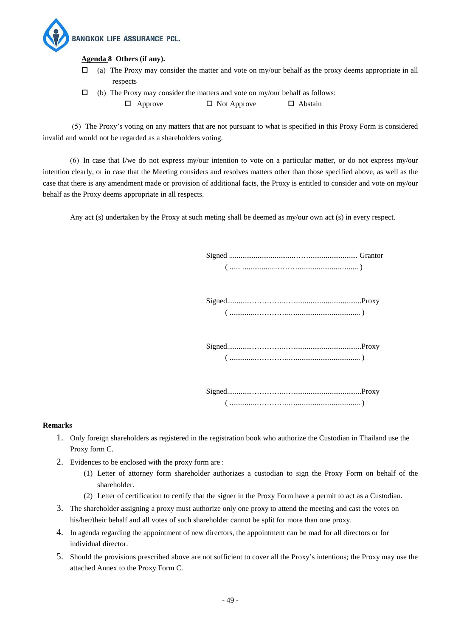

#### **Agenda 8 Others (if any).**

- $\Box$  (a) The Proxy may consider the matter and vote on my/our behalf as the proxy deems appropriate in all respects
- $\Box$  (b) The Proxy may consider the matters and vote on my/our behalf as follows:  $\Box$  Approve  $\Box$  Not Approve  $\Box$  Abstain

 (5) The Proxy's voting on any matters that are not pursuant to what is specified in this Proxy Form is considered invalid and would not be regarded as a shareholders voting.

(6) In case that I/we do not express my/our intention to vote on a particular matter, or do not express my/our intention clearly, or in case that the Meeting considers and resolves matters other than those specified above, as well as the case that there is any amendment made or provision of additional facts, the Proxy is entitled to consider and vote on my/our behalf as the Proxy deems appropriate in all respects.

Any act (s) undertaken by the Proxy at such meting shall be deemed as my/our own act (s) in every respect.

 Signed ..................................…….......................... Grantor ( ...... .................………......................…...... )

 Signed.............…………..…....................................Proxy ( .............…………..….................................. )

 Signed.............…………..…....................................Proxy ( .............…………..….................................. )

 Signed.............…………..…....................................Proxy ( .............…………..….................................. )

#### **Remarks**

- 1. Only foreign shareholders as registered in the registration book who authorize the Custodian in Thailand use the Proxy form C.
- 2. Evidences to be enclosed with the proxy form are :
	- (1) Letter of attorney form shareholder authorizes a custodian to sign the Proxy Form on behalf of the shareholder.
	- (2) Letter of certification to certify that the signer in the Proxy Form have a permit to act as a Custodian.
- 3. The shareholder assigning a proxy must authorize only one proxy to attend the meeting and cast the votes on his/her/their behalf and all votes of such shareholder cannot be split for more than one proxy.
- 4. In agenda regarding the appointment of new directors, the appointment can be mad for all directors or for individual director.
- 5. Should the provisions prescribed above are not sufficient to cover all the Proxy's intentions; the Proxy may use the attached Annex to the Proxy Form C.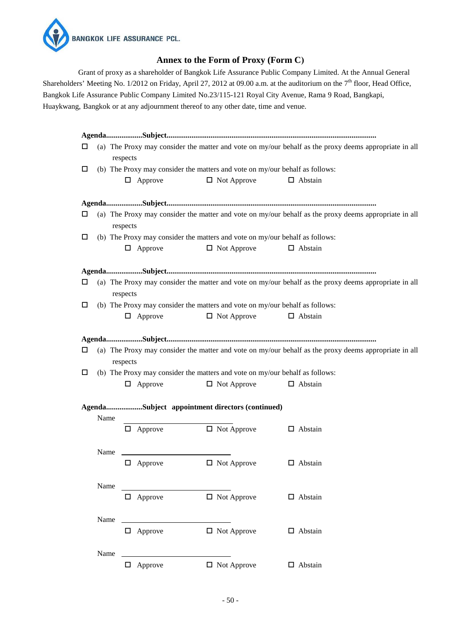

## **Annex to the Form of Proxy (Form C)**

Grant of proxy as a shareholder of Bangkok Life Assurance Public Company Limited. At the Annual General Shareholders' Meeting No. 1/2012 on Friday, April 27, 2012 at 09.00 a.m. at the auditorium on the  $7<sup>th</sup>$  floor, Head Office, Bangkok Life Assurance Public Company Limited No.23/115-121 Royal City Avenue, Rama 9 Road, Bangkapi, Huaykwang, Bangkok or at any adjournment thereof to any other date, time and venue.

| ப |                                                                              | respects       |                                                                                                    | (a) The Proxy may consider the matter and vote on my/our behalf as the proxy deems appropriate in all |
|---|------------------------------------------------------------------------------|----------------|----------------------------------------------------------------------------------------------------|-------------------------------------------------------------------------------------------------------|
| □ |                                                                              |                | (b) The Proxy may consider the matters and vote on my/our behalf as follows:                       |                                                                                                       |
|   |                                                                              | $\Box$ Approve | $\Box$ Not Approve                                                                                 | $\Box$ Abstain                                                                                        |
|   |                                                                              |                |                                                                                                    |                                                                                                       |
| □ |                                                                              | respects       |                                                                                                    | (a) The Proxy may consider the matter and vote on my/our behalf as the proxy deems appropriate in all |
| □ | (b) The Proxy may consider the matters and vote on my/our behalf as follows: |                |                                                                                                    |                                                                                                       |
|   |                                                                              | $\Box$ Approve | $\Box$ Not Approve                                                                                 | $\Box$ Abstain                                                                                        |
|   |                                                                              |                |                                                                                                    |                                                                                                       |
| □ |                                                                              | respects       |                                                                                                    | (a) The Proxy may consider the matter and vote on my/our behalf as the proxy deems appropriate in all |
| □ |                                                                              |                | (b) The Proxy may consider the matters and vote on my/our behalf as follows:                       |                                                                                                       |
|   |                                                                              | $\Box$ Approve | $\Box$ Not Approve                                                                                 | $\Box$ Abstain                                                                                        |
| □ |                                                                              | $\Box$ Approve | (b) The Proxy may consider the matters and vote on my/our behalf as follows:<br>$\Box$ Not Approve | $\Box$ Abstain                                                                                        |
|   |                                                                              |                | AgendaSubject appointment directors (continued)                                                    |                                                                                                       |
|   | Name                                                                         |                |                                                                                                    |                                                                                                       |
|   |                                                                              | $\Box$ Approve | $\Box$ Not Approve                                                                                 | $\Box$ Abstain                                                                                        |
|   | Name                                                                         |                |                                                                                                    |                                                                                                       |
|   |                                                                              | $\Box$ Approve | $\Box$ Not Approve                                                                                 | $\Box$ Abstain                                                                                        |
|   | Name                                                                         |                |                                                                                                    |                                                                                                       |
|   |                                                                              | $\Box$ Approve | $\Box$ Not Approve                                                                                 | $\Box$ Abstain                                                                                        |
|   | Name                                                                         |                |                                                                                                    |                                                                                                       |
|   |                                                                              | $\Box$ Approve | $\Box$ Not Approve                                                                                 | $\Box$ Abstain                                                                                        |
|   |                                                                              |                |                                                                                                    |                                                                                                       |
|   | Name                                                                         | $\Box$ Approve | $\Box$ Not Approve                                                                                 | $\Box$ Abstain                                                                                        |